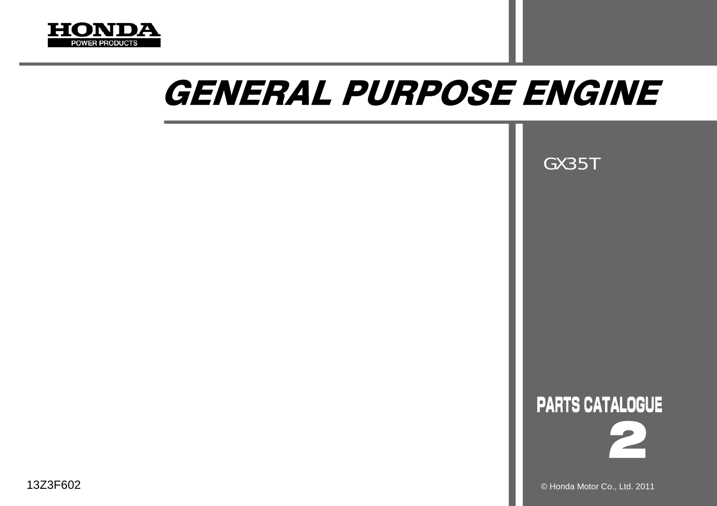

# GENERAL PURPOSE ENGINE

GX35T





© Honda Motor Co., Ltd. 2011

13Z3F602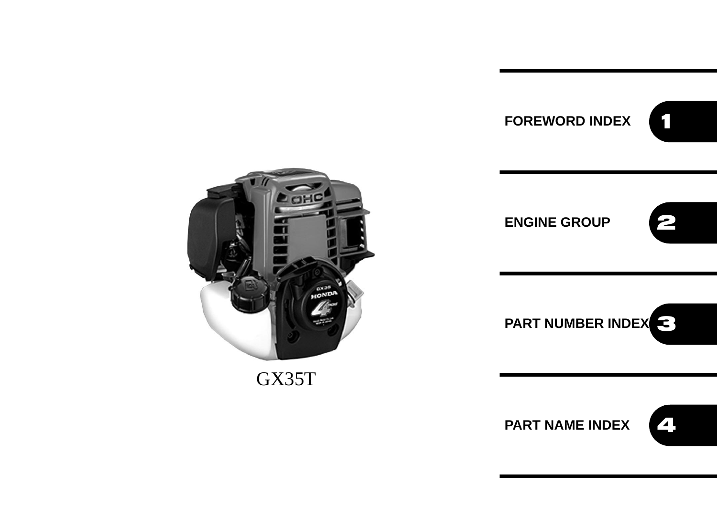



GX35T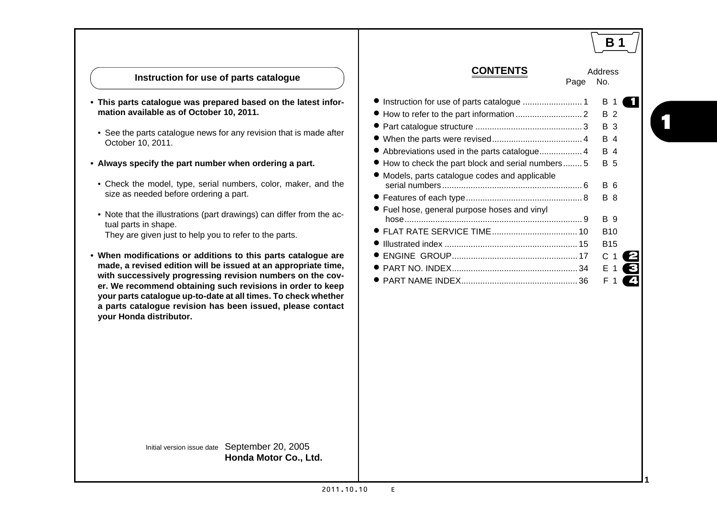|                                                                                                                                                                                                                                                                                                                                                                                                                                                                                                                                                                                                                                                                                                                                                                                                                                                                                                                                                            |                                                                                                                                                                                                      | <b>B</b> 1                                                                                                                                                |
|------------------------------------------------------------------------------------------------------------------------------------------------------------------------------------------------------------------------------------------------------------------------------------------------------------------------------------------------------------------------------------------------------------------------------------------------------------------------------------------------------------------------------------------------------------------------------------------------------------------------------------------------------------------------------------------------------------------------------------------------------------------------------------------------------------------------------------------------------------------------------------------------------------------------------------------------------------|------------------------------------------------------------------------------------------------------------------------------------------------------------------------------------------------------|-----------------------------------------------------------------------------------------------------------------------------------------------------------|
| Instruction for use of parts catalogue                                                                                                                                                                                                                                                                                                                                                                                                                                                                                                                                                                                                                                                                                                                                                                                                                                                                                                                     | <b>CONTENTS</b><br>Page                                                                                                                                                                              | Address<br>No.                                                                                                                                            |
| This parts catalogue was prepared based on the latest infor-<br>mation available as of October 10, 2011.<br>• See the parts catalogue news for any revision that is made after<br>October 10, 2011.<br>Always specify the part number when ordering a part.<br>• Check the model, type, serial numbers, color, maker, and the<br>size as needed before ordering a part.<br>• Note that the illustrations (part drawings) can differ from the ac-<br>tual parts in shape.<br>They are given just to help you to refer to the parts.<br>When modifications or additions to this parts catalogue are<br>made, a revised edition will be issued at an appropriate time,<br>with successively progressing revision numbers on the cov-<br>er. We recommend obtaining such revisions in order to keep<br>your parts catalogue up-to-date at all times. To check whether<br>a parts catalogue revision has been issued, please contact<br>your Honda distributor. | • Abbreviations used in the parts catalogue 4<br>• How to check the part block and serial numbers5<br>• Models, parts catalogue codes and applicable<br>• Fuel hose, general purpose hoses and vinyl | в<br>ш<br><b>B</b> 2<br><b>B</b> 3<br>B 4<br>B 4<br>B 5<br><b>B</b> 6<br><b>B</b> 8<br>B 9<br><b>B10</b><br><b>B15</b><br>C <sub>1</sub><br>◸<br>E<br>F 1 |
| Initial version issue date September 20, 2005<br>Honda Motor Co., Ltd.                                                                                                                                                                                                                                                                                                                                                                                                                                                                                                                                                                                                                                                                                                                                                                                                                                                                                     |                                                                                                                                                                                                      |                                                                                                                                                           |

1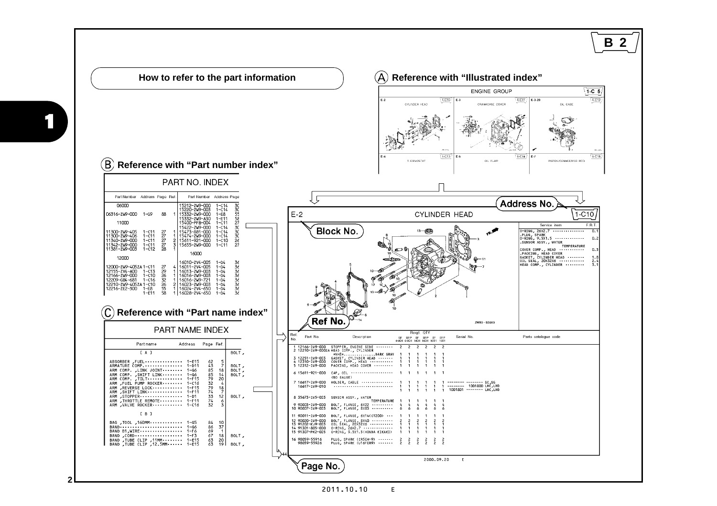<span id="page-4-0"></span>

2011.10.10 E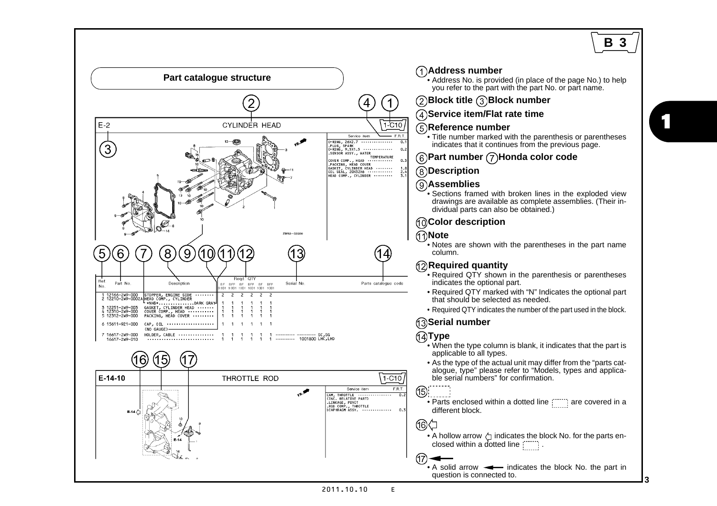## **B 3**

<span id="page-5-0"></span>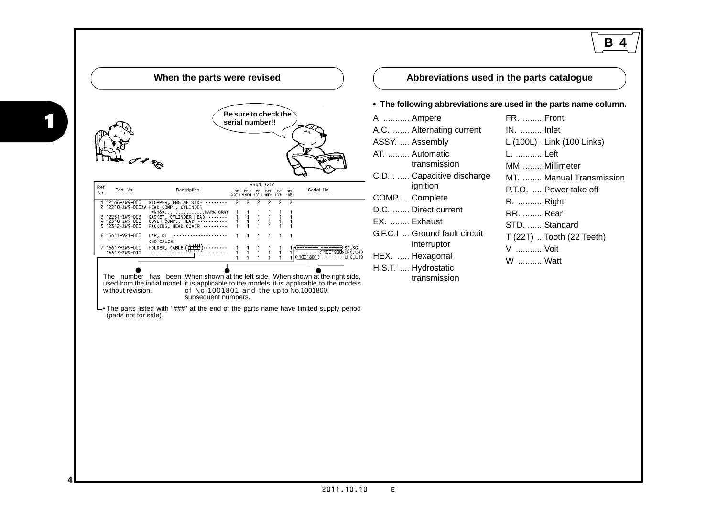<span id="page-6-0"></span>

| When the parts were revised                                                                                                                                                                                                                                                                                                                                                                                                                                                                                                                                                                                                                                                                                                                                                                                                                                                                                                   |                                                                                                                                                                                                                                                                                                              | В<br>Abbreviations used in the parts catalogue                                                                                                                                                                                                                                                               |
|-------------------------------------------------------------------------------------------------------------------------------------------------------------------------------------------------------------------------------------------------------------------------------------------------------------------------------------------------------------------------------------------------------------------------------------------------------------------------------------------------------------------------------------------------------------------------------------------------------------------------------------------------------------------------------------------------------------------------------------------------------------------------------------------------------------------------------------------------------------------------------------------------------------------------------|--------------------------------------------------------------------------------------------------------------------------------------------------------------------------------------------------------------------------------------------------------------------------------------------------------------|--------------------------------------------------------------------------------------------------------------------------------------------------------------------------------------------------------------------------------------------------------------------------------------------------------------|
| Be sure to check the<br>serial number!!<br>Regd. QTY<br>Ref.<br>Part No.<br>Description<br>Serial No.<br>BFP BF BFP BF<br><b>BFP</b><br>No.<br>1 12166-ZW9-000 STOPPER, ENGINE SIDE<br>2 12210-ZW9-000ZA HEAD COMP., CYLINDER<br>*NH8*DARK GRAY<br>GASKET, CYLINDER HEAD<br>3 12251-ZW9-003<br>4 12310-ZW9-000<br>COVER COMP., HEAD<br>5 12312-7W9-000<br>PACKING, HEAD COVER<br>$CAP, OIL$<br>6 15611-921-000<br>(NO GAUGE)<br>HOLDER, CABLE $(\# \# \#)$ --------<br>7 16617-ZW9-000<br>16617-ZW9-010<br>. 1001801) —————— І∟нсі∟нр<br>The number has been When shown at the left side, When shown at the right side,<br>used from the initial model it is applicable to the models it is applicable to the models<br>without revision.<br>of No.1001801 and the up to No.1001800.<br>subsequent numbers.<br>• The parts listed with "###" at the end of the parts name have limited supply period<br>(parts not for sale). | A  Ampere<br>A.C.  Alternating current<br>ASSY.  Assembly<br>AT.  Automatic<br>transmission<br>C.D.I.  Capacitive discharge<br>ignition<br>COMP.  Complete<br>D.C.  Direct current<br>EX.  Exhaust<br>G.F.C.I  Ground fault circuit<br>interruptor<br>HEX.  Hexagonal<br>H.S.T.  Hydrostatic<br>transmission | • The following abbreviations are used in the parts name column.<br>FR. Front<br>IN. Inlet<br>L (100L) .Link (100 Links)<br>L. Left<br>MM Millimeter<br>MT. Manual Transmission<br>P.T.O.  Power take off<br>R. Right<br><b>RR. Rear</b><br>STD. Standard<br>$T(22T)$ Tooth $(22$ Teeth)<br>V Volt<br>W Watt |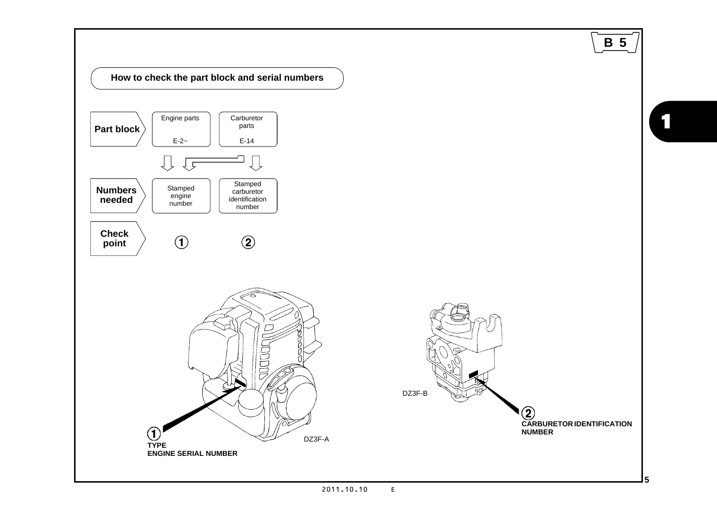<span id="page-7-0"></span>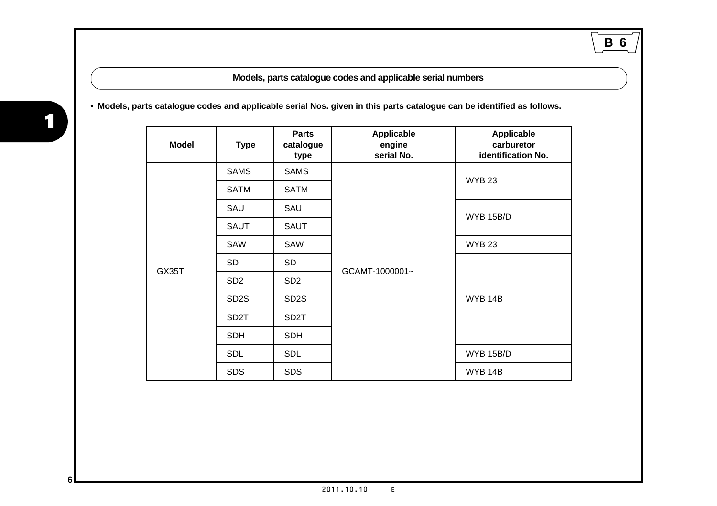**Models, parts catalogue codes and applicable serial numbers**

**B 6**

<span id="page-8-0"></span>**• Models, parts catalogue codes and applicable serial Nos. given in this parts catalogue can be identified as follows.**

| <b>Model</b> | <b>Type</b>       | <b>Parts</b><br>catalogue<br>type | Applicable<br>engine<br>serial No. | Applicable<br>carburetor<br>identification No. |  |  |
|--------------|-------------------|-----------------------------------|------------------------------------|------------------------------------------------|--|--|
|              | <b>SAMS</b>       | <b>SAMS</b>                       |                                    | <b>WYB 23</b>                                  |  |  |
|              | <b>SATM</b>       | <b>SATM</b>                       |                                    |                                                |  |  |
|              | SAU               | SAU                               |                                    | WYB 15B/D                                      |  |  |
|              | <b>SAUT</b>       | <b>SAUT</b>                       |                                    |                                                |  |  |
|              | SAW               | SAW                               |                                    | <b>WYB 23</b>                                  |  |  |
| GX35T        | <b>SD</b>         | <b>SD</b>                         | GCAMT-1000001~                     |                                                |  |  |
|              | SD <sub>2</sub>   | SD <sub>2</sub>                   |                                    |                                                |  |  |
|              | SD <sub>2</sub> S | SD <sub>2</sub> S                 |                                    | WYB 14B                                        |  |  |
|              | SD <sub>2</sub> T | SD <sub>2</sub> T                 |                                    |                                                |  |  |
|              | <b>SDH</b>        | <b>SDH</b>                        |                                    |                                                |  |  |
|              | <b>SDL</b>        | <b>SDL</b>                        |                                    | <b>WYB 15B/D</b>                               |  |  |
|              | <b>SDS</b>        | <b>SDS</b>                        |                                    | WYB 14B                                        |  |  |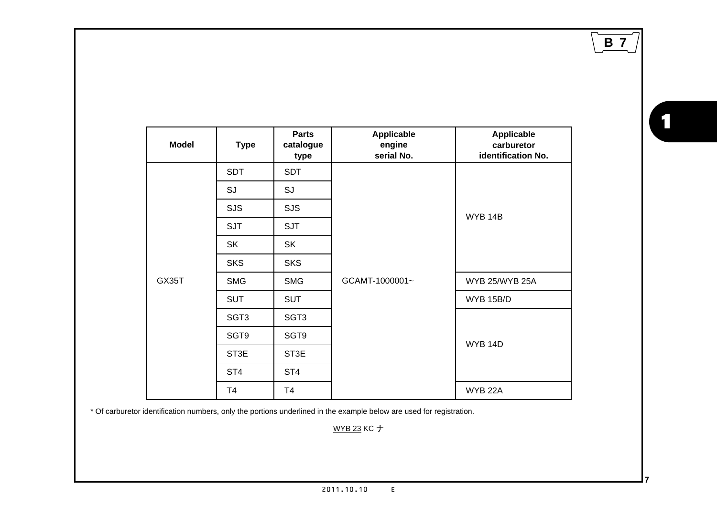**B 7**

| <b>Model</b> | <b>Type</b>      | <b>Parts</b><br>catalogue<br>type | <b>Applicable</b><br>engine<br>serial No. | Applicable<br>carburetor<br>identification No. |
|--------------|------------------|-----------------------------------|-------------------------------------------|------------------------------------------------|
|              | <b>SDT</b>       | <b>SDT</b>                        |                                           |                                                |
|              | SJ               | SJ                                |                                           |                                                |
|              | <b>SJS</b>       | <b>SJS</b>                        |                                           | WYB 14B                                        |
|              | <b>SJT</b>       | <b>SJT</b>                        |                                           |                                                |
|              | <b>SK</b>        | <b>SK</b>                         |                                           |                                                |
|              | <b>SKS</b>       | <b>SKS</b>                        |                                           |                                                |
| GX35T        | <b>SMG</b>       | <b>SMG</b>                        | GCAMT-1000001~                            | WYB 25/WYB 25A                                 |
|              | <b>SUT</b>       | <b>SUT</b>                        |                                           | WYB 15B/D                                      |
|              | SGT <sub>3</sub> | SGT <sub>3</sub>                  |                                           |                                                |
|              | SGT9             | SGT9                              |                                           |                                                |
|              | ST3E             | ST3E                              |                                           | <b>WYB 14D</b>                                 |
|              | ST <sub>4</sub>  | ST <sub>4</sub>                   |                                           |                                                |
|              | T4               | T4                                |                                           | <b>WYB 22A</b>                                 |

\* Of carburetor identification numbers, only the portions underlined in the example below are used for registration.

WYB 23 KC

1

2011.10.10 E $\mathsf{E}^{\scriptscriptstyle \top}$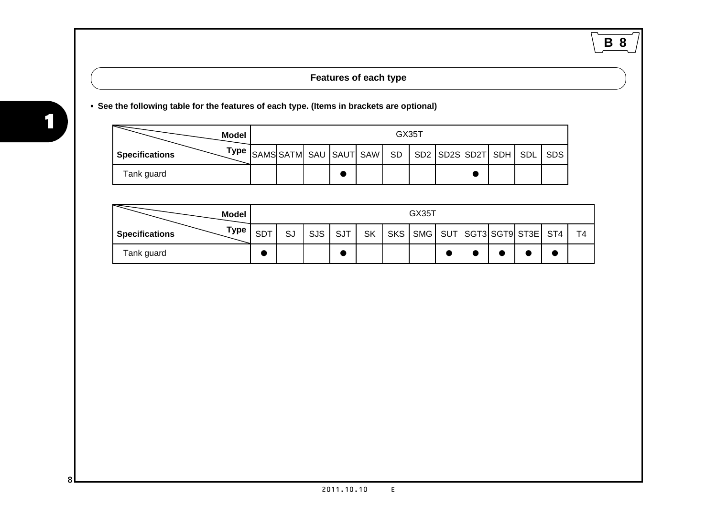## **B 8**

#### **Features of each type**

#### **• See the following table for the features of each type. (Items in brackets are optional)**

|                | Model | GX35T |  |  |  |  |  |  |  |  |  |
|----------------|-------|-------|--|--|--|--|--|--|--|--|--|
| Specifications |       |       |  |  |  |  |  |  |  |  |  |
| Tank guard     |       |       |  |  |  |  |  |  |  |  |  |

| <b>Model</b>                  |            | GX35T |            |            |           |  |                                |  |  |                |
|-------------------------------|------------|-------|------------|------------|-----------|--|--------------------------------|--|--|----------------|
| Type<br><b>Specifications</b> | <b>SDT</b> | SJ    | <b>SJS</b> | <b>SJT</b> | <b>SK</b> |  | SKS SMG SUT SGT3 SGT9 ST3E ST4 |  |  | T <sub>4</sub> |
| Tank guard                    |            |       |            |            |           |  |                                |  |  |                |

<span id="page-10-0"></span>|<br>|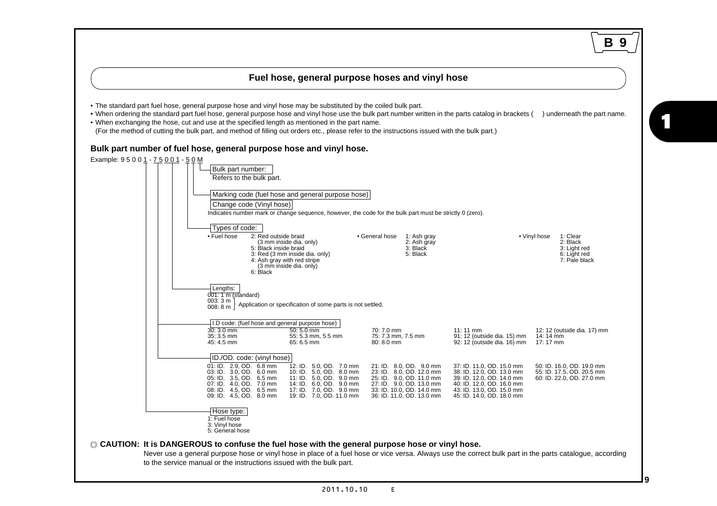#### **Fuel hose, general purpose hoses and vinyl hose**

<span id="page-11-0"></span>• The standard part fuel hose, general purpose hose and vinyl hose may be substituted by the coiled bulk part.

• When ordering the standard part fuel hose, general purpose hose and vinyl hose use the bulk part number written in the parts catalog in brackets ( ) underneath the part name.

• When exchanging the hose, cut and use at the specified length as mentioned in the part name.

(For the method of cutting the bulk part, and method of filling out orders etc., please refer to the instructions issued with the bulk part.)

#### **Bulk part number of fuel hose, general purpose hose and vinyl hose.**



**B 9**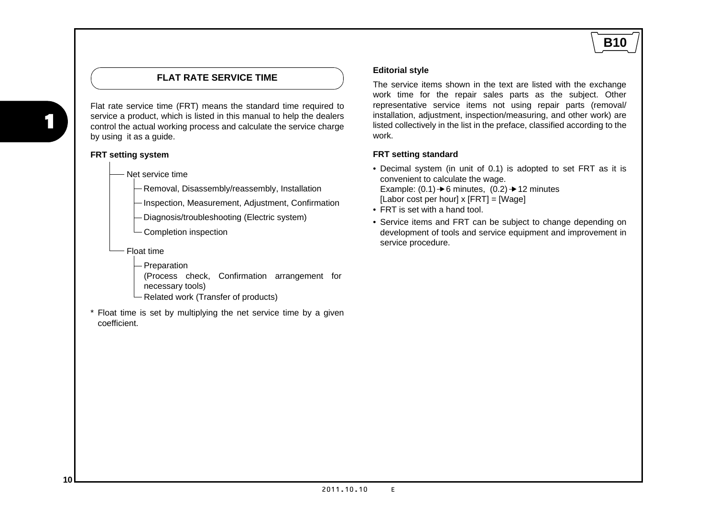#### **FLAT RATE SERVICE TIME**

<span id="page-12-0"></span>Flat rate service time (FRT) means the standard time required to service a product, which is listed in this manual to help the dealers control the actual working process and calculate the service charge by using it as a guide.

#### **FRT setting system**

Net service time

Removal, Disassembly/reassembly, Installation

- Inspection, Measurement, Adjustment, Confirmation

- Diagnosis/troubleshooting (Electric system)
- Completion inspection
- Float time
	- Preparation

(Process check, Confirmation arrangement for necessary tools)

- Related work (Transfer of products)
- \* Float time is set by multiplying the net service time by a given coefficient.

#### **Editorial style**

The service items shown in the text are listed with the exchange work time for the repair sales parts as the subject. Other representative service items not using repair parts (removal/ installation, adjustment, inspection/measuring, and other work) are listed collectively in the list in the preface, classified according to the work.

**B10**

#### **FRT setting standard**

- Decimal system (in unit of 0.1) is adopted to set FRT as it is convenient to calculate the wage. Example:  $(0.1) \rightarrow 6$  minutes,  $(0.2) \rightarrow 12$  minutes  $[{\sf Labor\ cost\ per\ hour} \times [FRT] = [Waae]$
- FRT is set with a hand tool.
- Service items and FRT can be subject to change depending on development of tools and service equipment and improvement in service procedure.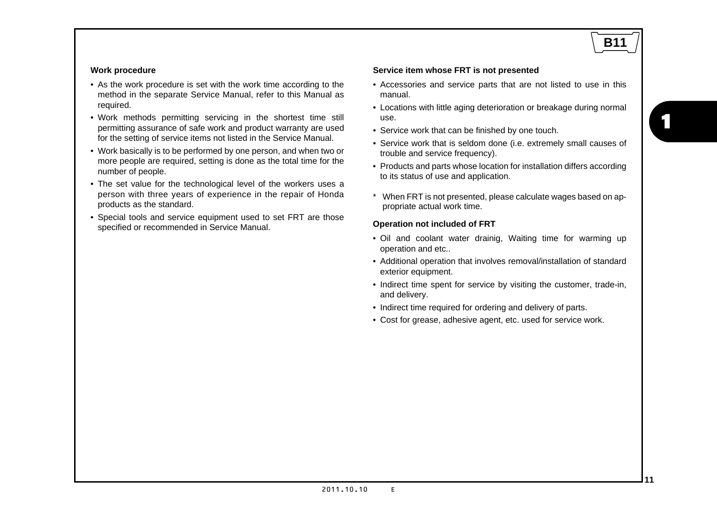## **B11**

1

#### **Work procedure**

- As the work procedure is set with the work time according to the method in the separate Service Manual, refer to this Manual as required.
- Work methods permitting servicing in the shortest time still permitting assurance of safe work and product warranty are used for the setting of service items not listed in the Service Manual.
- Work basically is to be performed by one person, and when two or more people are required, setting is done as the total time for the number of people.
- The set value for the technological level of the workers uses a person with three years of experience in the repair of Honda products as the standard.
- Special tools and service equipment used to set FRT are those specified or recommended in Service Manual.

#### **Service item whose FRT is not presented**

- Accessories and service parts that are not listed to use in this manual.
- Locations with little aging deterioration or breakage during normal use.
- Service work that can be finished by one touch.
- Service work that is seldom done (i.e. extremely small causes of trouble and service frequency).
- Products and parts whose location for installation differs according to its status of use and application.
- \* When FRT is not presented, please calculate wages based on appropriate actual work time.

#### **Operation not included of FRT**

- Oil and coolant water drainig, Waiting time for warming up operation and etc..
- Additional operation that involves removal/installation of standard exterior equipment.
- Indirect time spent for service by visiting the customer, trade-in, and delivery.
- Indirect time required for ordering and delivery of parts.
- Cost for grease, adhesive agent, etc. used for service work.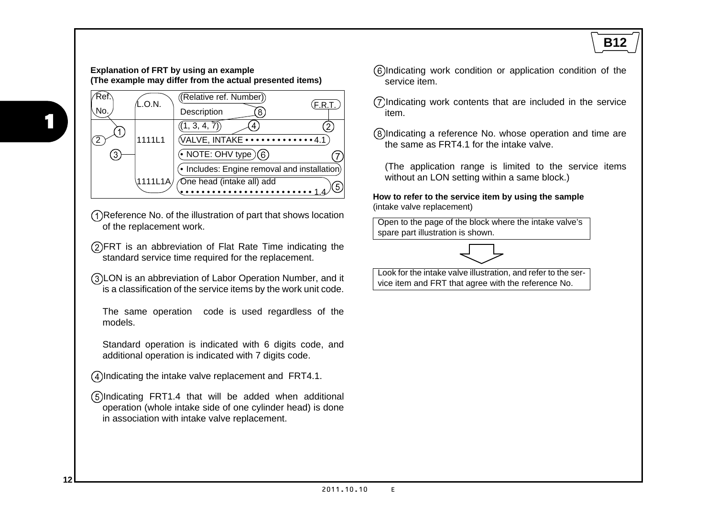#### **Explanation of FRT by using an example (The example may differ from the actual presented items)**



- Reference No. of the illustration of part that shows location of the replacement work.
- FRT is an abbreviation of Flat Rate Time indicating the standard service time required for the replacement.
- LON is an abbreviation of Labor Operation Number, and it is a classification of the service items by the work unit code.

The same operation code is used regardless of the models.

Standard operation is indicated with 6 digits code, and additional operation is indicated with 7 digits code.

Indicating the intake valve replacement and FRT4.1.

Indicating FRT1.4 that will be added when additional operation (whole intake side of one cylinder head) is done in association with intake valve replacement.

- Indicating work condition or application condition of the service item.
- Indicating work contents that are included in the service item.
- Indicating a reference No. whose operation and time are the same as FRT4.1 for the intake valve.

(The application range is limited to the service items without an LON setting within a same block.)

**How to refer to the service item by using the sample** (intake valve replacement)

Open to the page of the block where the intake valve's spare part illustration is shown.



Look for the intake valve illustration, and refer to the service item and FRT that agree with the reference No.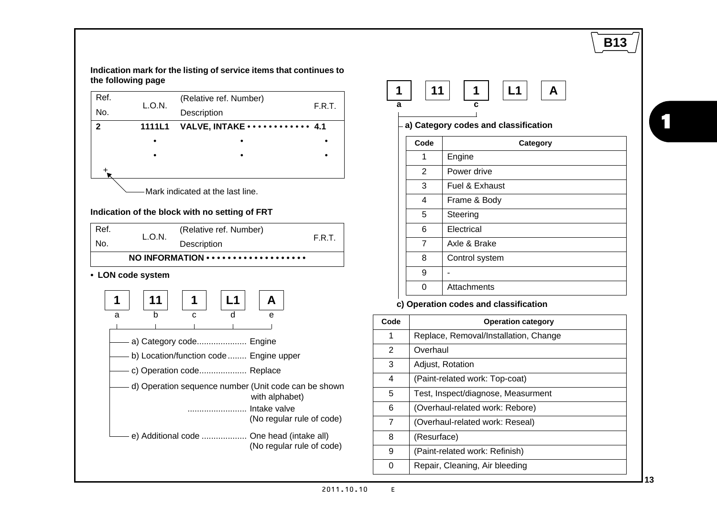

**Indication mark for the listing of service items that continues to the following page**





**a) Category codes and classification**

| Code | Category       |  |  |  |  |  |
|------|----------------|--|--|--|--|--|
| 1    | Engine         |  |  |  |  |  |
| 2    | Power drive    |  |  |  |  |  |
| 3    | Fuel & Exhaust |  |  |  |  |  |
| 4    | Frame & Body   |  |  |  |  |  |
| 5    | Steering       |  |  |  |  |  |
| 6    | Electrical     |  |  |  |  |  |
| 7    | Axle & Brake   |  |  |  |  |  |
| 8    | Control system |  |  |  |  |  |
| 9    |                |  |  |  |  |  |
|      | Attachments    |  |  |  |  |  |

#### **c) Operation codes and classification**

| Code           | <b>Operation category</b>             |
|----------------|---------------------------------------|
| 1              | Replace, Removal/Installation, Change |
| 2              | Overhaul                              |
| 3              | Adjust, Rotation                      |
| 4              | (Paint-related work: Top-coat)        |
| 5              | Test, Inspect/diagnose, Measurment    |
| 6              | (Overhaul-related work: Rebore)       |
| $\overline{7}$ | (Overhaul-related work: Reseal)       |
| 8              | (Resurface)                           |
| 9              | (Paint-related work: Refinish)        |
| ი              | Repair, Cleaning, Air bleeding        |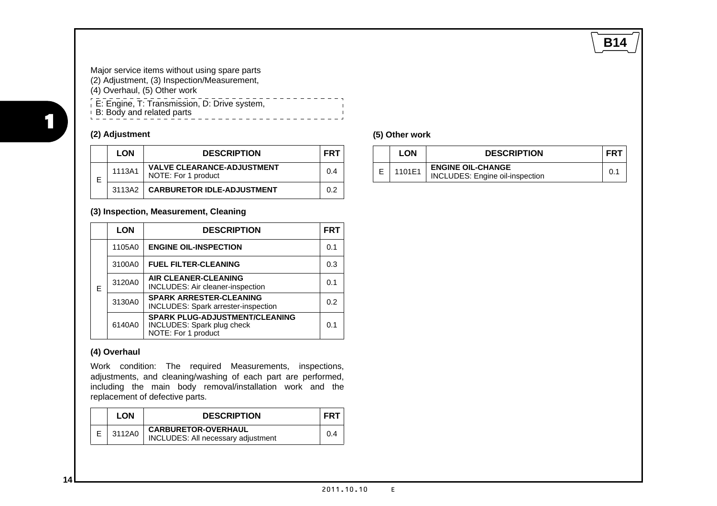### **B14**

Major service items without using spare parts (2) Adjustment, (3) Inspection/Measurement, (4) Overhaul, (5) Other work . . . . . . . . . . . . . E: Engine, T: Transmission, D: Drive system, B: Body and related parts . . . . . . . . . . . . . . . . . .

#### **(2) Adjustment**

|   | <b>LON</b> | <b>DESCRIPTION</b>                                       | <b>FRT</b> |
|---|------------|----------------------------------------------------------|------------|
| E | 1113A1     | <b>VALVE CLEARANCE-ADJUSTMENT</b><br>NOTE: For 1 product | በ 4        |
|   | 3113A2     | <b>CARBURETOR IDLE-ADJUSTMENT</b>                        | 0 2        |

#### **(3) Inspection, Measurement, Cleaning**

|   | <b>LON</b> | <b>DESCRIPTION</b>                                                                         | <b>FRT</b>     |
|---|------------|--------------------------------------------------------------------------------------------|----------------|
|   | 1105A0     | <b>ENGINE OIL-INSPECTION</b>                                                               | 0.1            |
|   | 3100A0     | <b>FUEL FILTER-CLEANING</b>                                                                | 0.3            |
| Е | 3120A0     | <b>AIR CLEANER-CLEANING</b><br>INCLUDES: Air cleaner-inspection                            | 0 <sub>1</sub> |
|   | 3130A0     | <b>SPARK ARRESTER-CLEANING</b><br><b>INCLUDES: Spark arrester-inspection</b>               | 0.2            |
|   | 6140A0     | <b>SPARK PLUG-ADJUSTMENT/CLEANING</b><br>INCLUDES: Spark plug check<br>NOTE: For 1 product | 0 <sub>1</sub> |

#### **(4) Overhaul**

Work condition: The required Measurements, inspections, adjustments, and cleaning/washing of each part are performed, including the main body removal/installation work and the replacement of defective parts.

| <b>LON</b> | <b>DESCRIPTION</b>                                               | FR1 |
|------------|------------------------------------------------------------------|-----|
| 3112A0     | <b>CARBURETOR-OVERHAUL</b><br>INCLUDES: All necessary adjustment | 0.4 |

#### **(5) Other work**

 $\blacksquare$ 

| LON    | <b>DESCRIPTION</b>                                          | FR. |
|--------|-------------------------------------------------------------|-----|
| 1101E1 | <b>ENGINE OIL-CHANGE</b><br>INCLUDES: Engine oil-inspection |     |

|<br>|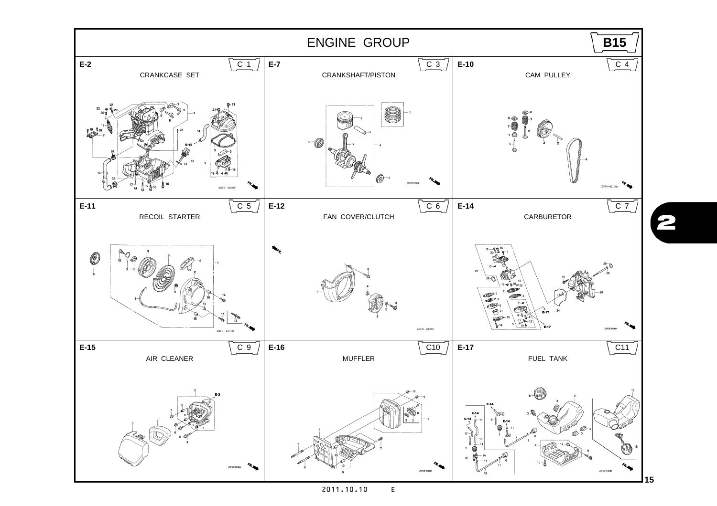<span id="page-17-0"></span>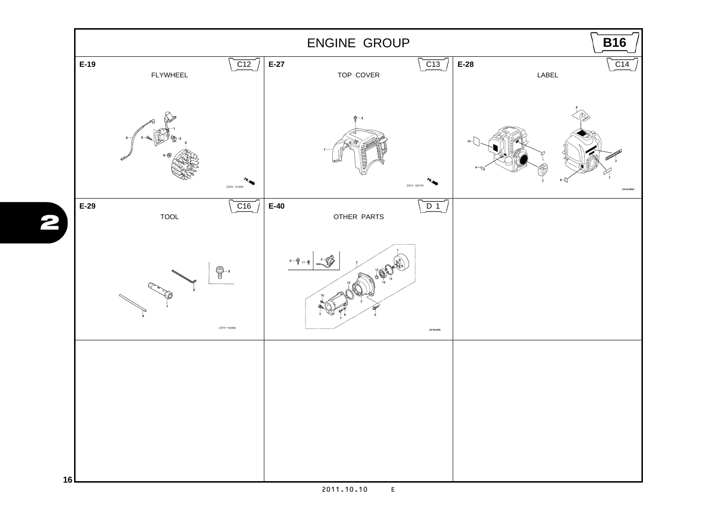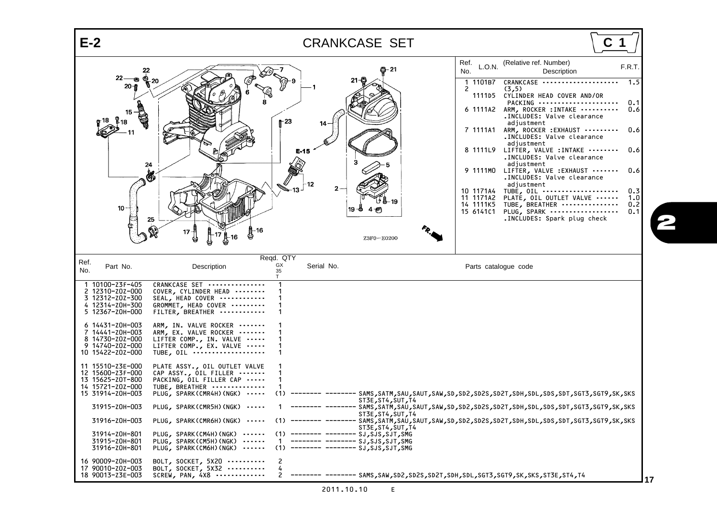<span id="page-19-42"></span><span id="page-19-41"></span><span id="page-19-40"></span><span id="page-19-39"></span><span id="page-19-38"></span><span id="page-19-37"></span><span id="page-19-36"></span><span id="page-19-35"></span><span id="page-19-34"></span><span id="page-19-33"></span><span id="page-19-32"></span><span id="page-19-31"></span><span id="page-19-30"></span><span id="page-19-29"></span><span id="page-19-28"></span><span id="page-19-27"></span><span id="page-19-26"></span><span id="page-19-25"></span><span id="page-19-24"></span><span id="page-19-23"></span><span id="page-19-22"></span><span id="page-19-21"></span><span id="page-19-20"></span><span id="page-19-19"></span><span id="page-19-18"></span><span id="page-19-17"></span><span id="page-19-16"></span><span id="page-19-15"></span><span id="page-19-14"></span><span id="page-19-13"></span><span id="page-19-12"></span><span id="page-19-11"></span><span id="page-19-10"></span><span id="page-19-9"></span><span id="page-19-8"></span><span id="page-19-7"></span><span id="page-19-6"></span><span id="page-19-5"></span><span id="page-19-4"></span><span id="page-19-3"></span><span id="page-19-2"></span><span id="page-19-1"></span><span id="page-19-0"></span>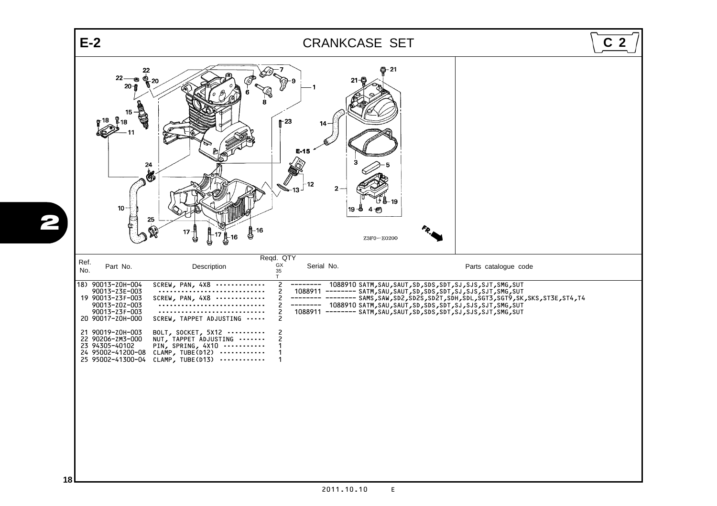<span id="page-20-17"></span><span id="page-20-16"></span><span id="page-20-15"></span><span id="page-20-14"></span><span id="page-20-13"></span><span id="page-20-12"></span><span id="page-20-11"></span><span id="page-20-10"></span><span id="page-20-9"></span><span id="page-20-8"></span><span id="page-20-7"></span><span id="page-20-6"></span><span id="page-20-5"></span><span id="page-20-4"></span><span id="page-20-3"></span><span id="page-20-2"></span><span id="page-20-1"></span><span id="page-20-0"></span>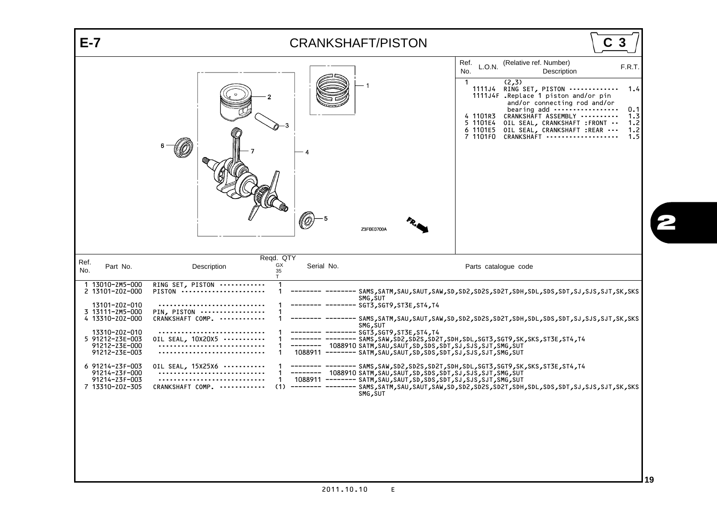<span id="page-21-18"></span><span id="page-21-5"></span><span id="page-21-4"></span><span id="page-21-3"></span><span id="page-21-2"></span><span id="page-21-1"></span><span id="page-21-0"></span>

<span id="page-21-17"></span><span id="page-21-16"></span><span id="page-21-15"></span><span id="page-21-14"></span><span id="page-21-13"></span><span id="page-21-12"></span><span id="page-21-11"></span><span id="page-21-10"></span><span id="page-21-9"></span><span id="page-21-8"></span><span id="page-21-7"></span><span id="page-21-6"></span>2011.10.10 E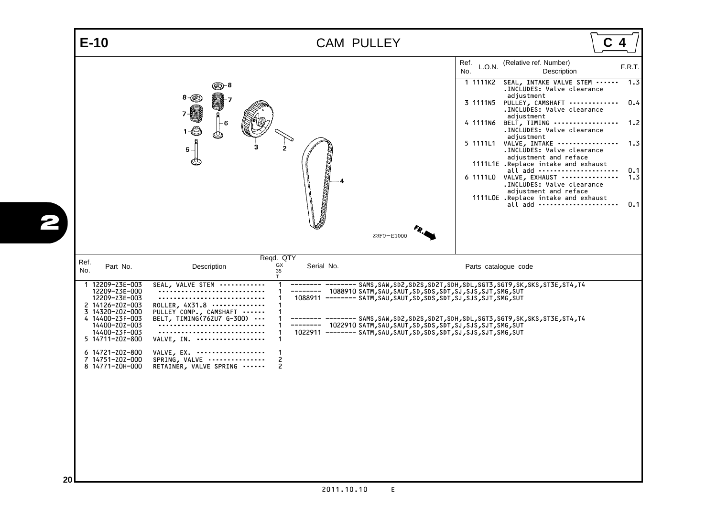<span id="page-22-18"></span><span id="page-22-17"></span><span id="page-22-16"></span><span id="page-22-15"></span><span id="page-22-14"></span><span id="page-22-13"></span><span id="page-22-12"></span><span id="page-22-11"></span><span id="page-22-10"></span><span id="page-22-9"></span><span id="page-22-8"></span><span id="page-22-7"></span><span id="page-22-6"></span><span id="page-22-5"></span><span id="page-22-4"></span><span id="page-22-3"></span><span id="page-22-2"></span><span id="page-22-1"></span><span id="page-22-0"></span>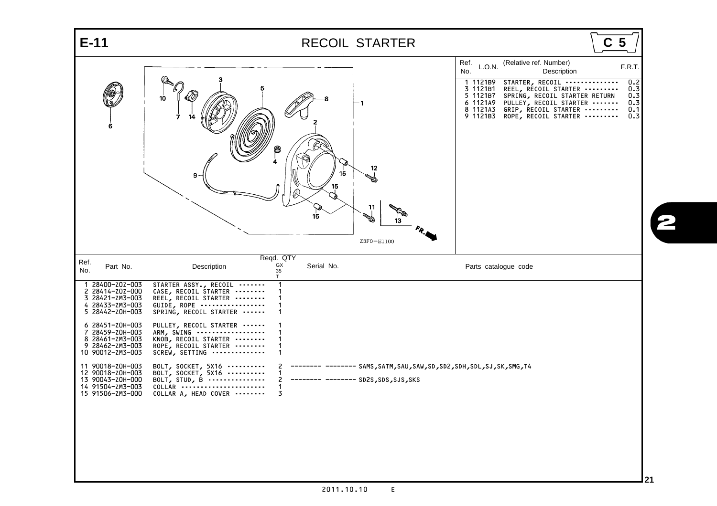<span id="page-23-30"></span><span id="page-23-29"></span><span id="page-23-28"></span><span id="page-23-27"></span><span id="page-23-26"></span><span id="page-23-25"></span><span id="page-23-24"></span><span id="page-23-23"></span><span id="page-23-22"></span><span id="page-23-21"></span><span id="page-23-20"></span><span id="page-23-19"></span><span id="page-23-18"></span><span id="page-23-17"></span><span id="page-23-16"></span><span id="page-23-15"></span><span id="page-23-14"></span><span id="page-23-13"></span><span id="page-23-12"></span><span id="page-23-11"></span><span id="page-23-10"></span><span id="page-23-9"></span><span id="page-23-8"></span><span id="page-23-7"></span><span id="page-23-6"></span><span id="page-23-5"></span><span id="page-23-4"></span><span id="page-23-3"></span><span id="page-23-2"></span><span id="page-23-1"></span><span id="page-23-0"></span>

| $E-11$                                                                                                                                                                                                                                                                                                                     | <b>RECOIL STARTER</b>                                                                                                                                                                                                                                                                                                                                                                                                                                                                                                    | C <sub>5</sub>                                   |
|----------------------------------------------------------------------------------------------------------------------------------------------------------------------------------------------------------------------------------------------------------------------------------------------------------------------------|--------------------------------------------------------------------------------------------------------------------------------------------------------------------------------------------------------------------------------------------------------------------------------------------------------------------------------------------------------------------------------------------------------------------------------------------------------------------------------------------------------------------------|--------------------------------------------------|
|                                                                                                                                                                                                                                                                                                                            | Ref.<br>(Relative ref. Number)<br>L.O.N.<br>No.<br>Description<br>STARTER, RECOIL<br>1 1121B9<br>3 1121B1<br>REEL, RECOIL STARTER<br>5 1121B7<br>SPRING, RECOIL STARTER RETURN<br>10<br>6 1121A9<br>PULLEY, RECOIL STARTER<br>- 1<br>GRIP, RECOIL STARTER<br>8 1121A3<br>9 1121B3<br>ROPE, RECOIL STARTER<br>8<br>12<br>9.<br>15<br>11<br>15<br><b>REAL PROPERTY</b><br>13<br>Z3F0-E1100                                                                                                                                 | F.R.T.<br>0.2<br>0.3<br>0.3<br>0.3<br>0.1<br>0.3 |
| Ref.<br>Part No.<br>No.<br>1 28400-Z0Z-003<br>2 28414-Z0Z-000<br>3 28421-ZM3-003<br>4 28433-ZM3-003<br>5 28442-Z0H-003<br>6 28451-Z0H-003<br>7 28459-Z0H-003<br>8 28461-ZM3-003<br>9 28462-ZM3-003<br>10 90012-ZM3-003<br>11 90018-Z0H-003<br>12 90018-Z0H-003<br>13 90043-Z0H-000<br>14 91504-ZM3-003<br>15 91506-ZM3-000 | Reqd. QTY<br>GX<br>Serial No.<br>Description<br>Parts catalogue code<br>35<br>T.<br>STARTER ASSY., RECOIL<br>CASE, RECOIL STARTER<br>REEL, RECOIL STARTER<br>GUIDE, ROPE<br>SPRING, RECOIL STARTER<br>PULLEY, RECOIL STARTER<br>ARM, SWING<br>KNOB, RECOIL STARTER<br>ROPE, RECOIL STARTER<br>SCREW, SETTING<br>BOLT, SOCKET, 5X16<br>------- SAMS,SATM,SAU,SAW,SD,SD2,SDH,SDL,SJ,SK,SMG,T4<br>BOLT, SOCKET, 5X16<br>BOLT, STUD, B $\cdots$<br>-------- -------- SD2S, SDS, SJS, SKS<br>$COLLAR$<br>COLLAR A, HEAD COVER |                                                  |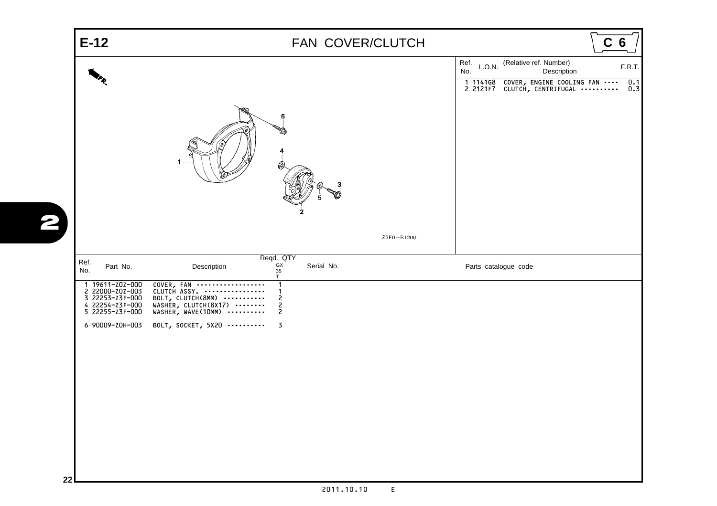<span id="page-24-12"></span><span id="page-24-11"></span><span id="page-24-10"></span><span id="page-24-9"></span><span id="page-24-8"></span><span id="page-24-7"></span><span id="page-24-6"></span><span id="page-24-5"></span><span id="page-24-4"></span><span id="page-24-3"></span><span id="page-24-2"></span><span id="page-24-1"></span><span id="page-24-0"></span>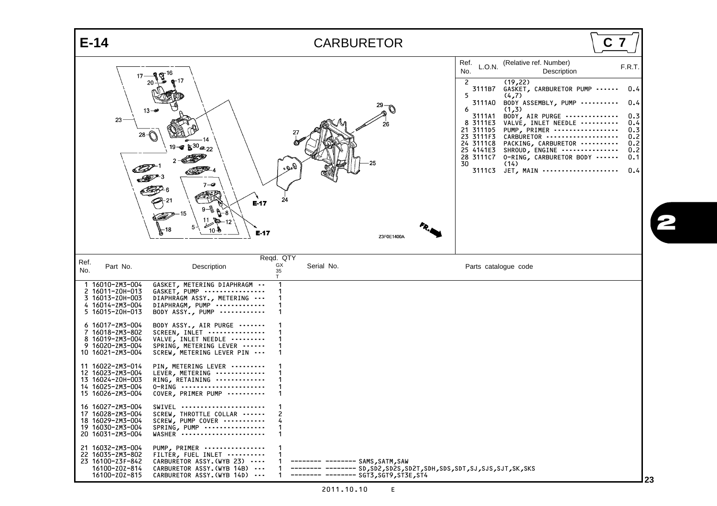<span id="page-25-48"></span><span id="page-25-47"></span><span id="page-25-46"></span><span id="page-25-45"></span><span id="page-25-44"></span><span id="page-25-43"></span><span id="page-25-42"></span><span id="page-25-41"></span><span id="page-25-40"></span><span id="page-25-39"></span><span id="page-25-38"></span><span id="page-25-37"></span><span id="page-25-36"></span><span id="page-25-35"></span><span id="page-25-34"></span><span id="page-25-33"></span><span id="page-25-32"></span><span id="page-25-31"></span><span id="page-25-30"></span><span id="page-25-29"></span><span id="page-25-28"></span><span id="page-25-27"></span><span id="page-25-26"></span><span id="page-25-25"></span><span id="page-25-24"></span><span id="page-25-23"></span><span id="page-25-22"></span><span id="page-25-21"></span><span id="page-25-20"></span><span id="page-25-19"></span><span id="page-25-18"></span><span id="page-25-17"></span><span id="page-25-16"></span><span id="page-25-15"></span><span id="page-25-14"></span><span id="page-25-13"></span><span id="page-25-12"></span><span id="page-25-11"></span><span id="page-25-10"></span><span id="page-25-9"></span><span id="page-25-8"></span><span id="page-25-7"></span><span id="page-25-6"></span><span id="page-25-5"></span><span id="page-25-4"></span><span id="page-25-3"></span><span id="page-25-2"></span><span id="page-25-1"></span><span id="page-25-0"></span>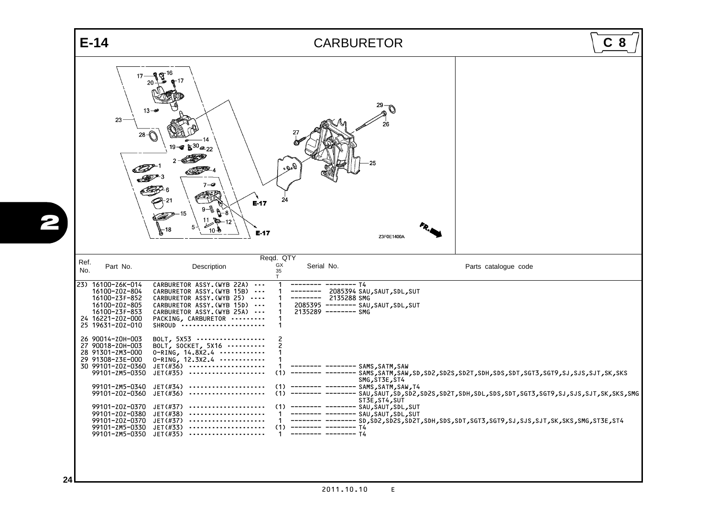<span id="page-26-19"></span><span id="page-26-5"></span><span id="page-26-4"></span><span id="page-26-3"></span><span id="page-26-2"></span><span id="page-26-1"></span><span id="page-26-0"></span>

<span id="page-26-24"></span><span id="page-26-23"></span><span id="page-26-22"></span><span id="page-26-21"></span><span id="page-26-20"></span><span id="page-26-18"></span><span id="page-26-17"></span><span id="page-26-16"></span><span id="page-26-15"></span><span id="page-26-14"></span><span id="page-26-13"></span><span id="page-26-12"></span><span id="page-26-11"></span><span id="page-26-10"></span><span id="page-26-9"></span><span id="page-26-8"></span><span id="page-26-7"></span><span id="page-26-6"></span>2011.10.10 E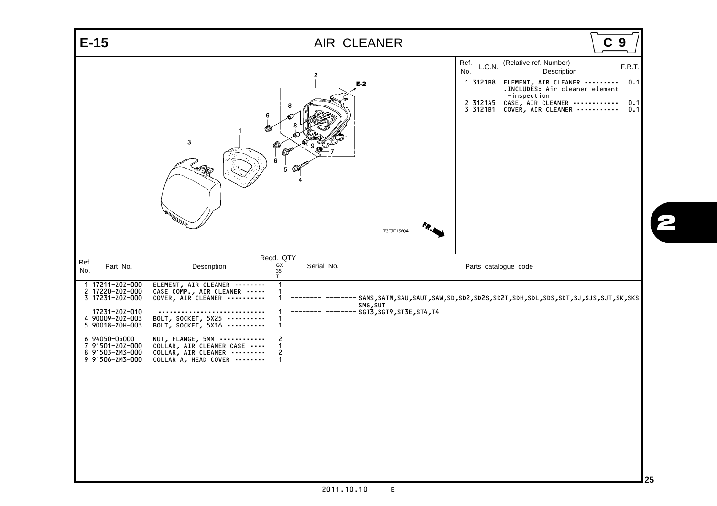<span id="page-27-19"></span><span id="page-27-18"></span><span id="page-27-17"></span><span id="page-27-16"></span><span id="page-27-15"></span><span id="page-27-14"></span><span id="page-27-13"></span><span id="page-27-12"></span><span id="page-27-11"></span><span id="page-27-10"></span><span id="page-27-9"></span><span id="page-27-8"></span><span id="page-27-7"></span><span id="page-27-6"></span><span id="page-27-5"></span><span id="page-27-4"></span><span id="page-27-3"></span><span id="page-27-2"></span><span id="page-27-1"></span><span id="page-27-0"></span>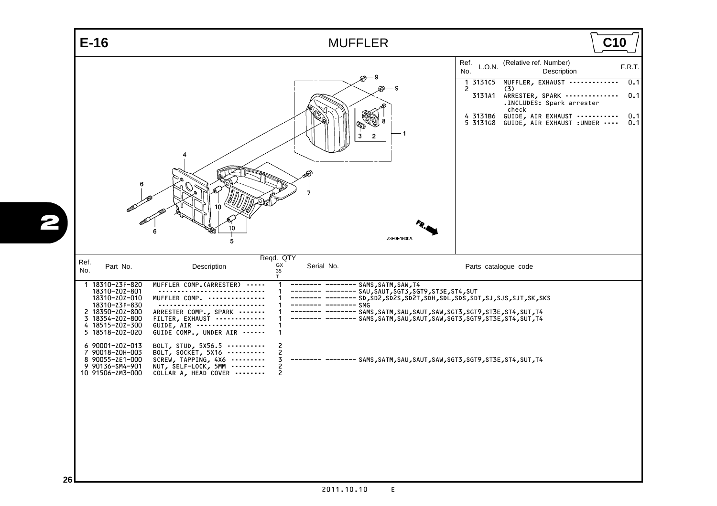<span id="page-28-23"></span><span id="page-28-22"></span><span id="page-28-21"></span><span id="page-28-20"></span><span id="page-28-19"></span><span id="page-28-18"></span><span id="page-28-17"></span><span id="page-28-16"></span><span id="page-28-15"></span><span id="page-28-14"></span><span id="page-28-13"></span><span id="page-28-12"></span><span id="page-28-11"></span><span id="page-28-10"></span><span id="page-28-9"></span><span id="page-28-8"></span><span id="page-28-7"></span><span id="page-28-6"></span><span id="page-28-5"></span><span id="page-28-4"></span><span id="page-28-3"></span><span id="page-28-2"></span><span id="page-28-1"></span><span id="page-28-0"></span>

| $E-16$                                                                                                                                                                                                                                                                    | <b>MUFFLER</b>                                                                                                                                                                                                                                                                                                                                                                                                                                                                                                                            | C10                                                                                                                                                                                                                                                                                       |
|---------------------------------------------------------------------------------------------------------------------------------------------------------------------------------------------------------------------------------------------------------------------------|-------------------------------------------------------------------------------------------------------------------------------------------------------------------------------------------------------------------------------------------------------------------------------------------------------------------------------------------------------------------------------------------------------------------------------------------------------------------------------------------------------------------------------------------|-------------------------------------------------------------------------------------------------------------------------------------------------------------------------------------------------------------------------------------------------------------------------------------------|
| 6                                                                                                                                                                                                                                                                         | 9<br>$\overline{2}$<br>7<br>Z3F0E1600A<br>5                                                                                                                                                                                                                                                                                                                                                                                                                                                                                               | Ref.<br>(Relative ref. Number)<br>L.O.N.<br>F.R.T.<br>No.<br>Description<br>MUFFLER, EXHAUST<br>0.1<br>1 313105<br>2<br>(3)<br>3131A1<br>0.1<br>ARRESTER, SPARK<br>.INCLUDES: Spark arrester<br>check<br>4 3131B6 GUIDE, AIR EXHAUST<br>0.1<br>5 3131G8 GUIDE, AIR EXHAUST : UNDER<br>0.1 |
| Ref.<br>Part No.<br>No.<br>1 18310-Z3F-820<br>18310-z0z-801<br>18310-z0z-010<br>18310-z3F-830<br>2 18350-Z0Z-800<br>3 18354-Z0Z-800<br>4 18515-Z0Z-300<br>5 18518-Z0Z-020<br>6 90001-Z0Z-013<br>7 90018-Z0H-003<br>8 90055-ZE1-000<br>9 90136-SM4-901<br>10 91506-ZM3-000 | Reqd. QTY<br>GX<br>Serial No.<br>Description<br>35<br>$\mathsf{T}$<br>MUFFLER COMP. (ARRESTER)<br>-------- -------- SAMS, SATM, SAW, T4<br>MUFFLER COMP.<br>—— SMG<br>ARRESTER COMP., SPARK<br>---- SAMS,SATM,SAU,SAUT,SAW,SGT3,SGT9,ST3E,ST4,SUT,T4<br>FILTER, EXHAUST<br>GUIDE, AIR<br>GUIDE COMP., UNDER AIR<br>BOLT, STUD, 5X56.5<br>2<br>BOLT, SOCKET, 5X16<br>2<br>SCREW, TAPPING, $4X6$<br>3<br>------- ------ SAMS, SATM, SAU, SAUT, SAW, SGT3, SGT9, ST3E, ST4, SUT, T4<br>2<br>NUT, SELF-LOCK, 5MM<br>COLLAR A, HEAD COVER<br>2 | Parts catalogue code                                                                                                                                                                                                                                                                      |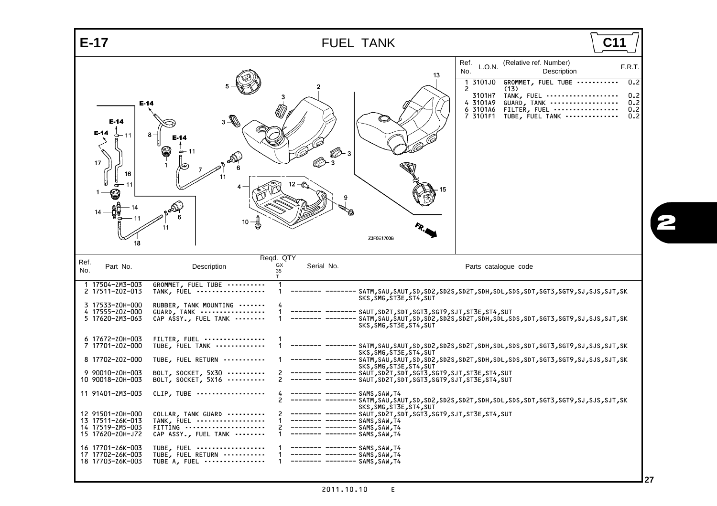<span id="page-29-36"></span><span id="page-29-35"></span><span id="page-29-34"></span><span id="page-29-33"></span><span id="page-29-32"></span><span id="page-29-31"></span><span id="page-29-30"></span><span id="page-29-29"></span><span id="page-29-28"></span><span id="page-29-27"></span><span id="page-29-26"></span><span id="page-29-25"></span><span id="page-29-24"></span><span id="page-29-23"></span><span id="page-29-22"></span><span id="page-29-21"></span><span id="page-29-20"></span><span id="page-29-19"></span><span id="page-29-18"></span><span id="page-29-17"></span><span id="page-29-16"></span><span id="page-29-15"></span><span id="page-29-14"></span><span id="page-29-13"></span><span id="page-29-12"></span><span id="page-29-11"></span><span id="page-29-10"></span><span id="page-29-9"></span><span id="page-29-8"></span><span id="page-29-7"></span><span id="page-29-6"></span><span id="page-29-5"></span><span id="page-29-4"></span><span id="page-29-3"></span><span id="page-29-2"></span><span id="page-29-1"></span><span id="page-29-0"></span>

| $E-17$                                                                                                                                                                                                                                                                                                                                                      | <b>FUEL TANK</b>                                                                                                                                                                                                                                                                                                                                                                                                                                                                                                                                                                                                                                                                                                                                                                                                                                                                | C1                                                                                                                                                                                                                                                                                                                                                                                             |
|-------------------------------------------------------------------------------------------------------------------------------------------------------------------------------------------------------------------------------------------------------------------------------------------------------------------------------------------------------------|---------------------------------------------------------------------------------------------------------------------------------------------------------------------------------------------------------------------------------------------------------------------------------------------------------------------------------------------------------------------------------------------------------------------------------------------------------------------------------------------------------------------------------------------------------------------------------------------------------------------------------------------------------------------------------------------------------------------------------------------------------------------------------------------------------------------------------------------------------------------------------|------------------------------------------------------------------------------------------------------------------------------------------------------------------------------------------------------------------------------------------------------------------------------------------------------------------------------------------------------------------------------------------------|
| $E-14$<br>$E-14$<br>E-14<br>⇔– 11<br>17<br>18                                                                                                                                                                                                                                                                                                               | 13<br>$3-\sqrt{2}$<br>œ<br>10 <sub>1</sub><br>Z3F0E1700B                                                                                                                                                                                                                                                                                                                                                                                                                                                                                                                                                                                                                                                                                                                                                                                                                        | (Relative ref. Number)<br>Ref.<br>L.O.N.<br>F.R.T.<br>No.<br>Description<br>GROMMET, FUEL TUBE<br>0.2<br>3101J0<br>1<br>2<br>(13)<br>3101H7<br>TANK, FUEL<br>0.2<br>0.2<br>4 3101A9<br>GUARD, TANK<br>0.2<br>6 3101A6<br>FILTER, FUEL<br>7 3101F1 TUBE, FUEL TANK<br>0.2                                                                                                                       |
| Ref.<br>Part No.<br>No.                                                                                                                                                                                                                                                                                                                                     | Regd. QTY<br>GX<br>Serial No.<br>Description<br>35<br>T.                                                                                                                                                                                                                                                                                                                                                                                                                                                                                                                                                                                                                                                                                                                                                                                                                        | Parts catalogue code                                                                                                                                                                                                                                                                                                                                                                           |
| 1 17504-ZM3-003<br>2 17511-Z0Z-013<br>3 17533-Z0H-000<br>4 17555-Z0Z-000<br>5 17620-ZM3-063<br>6 17672-Z0H-003<br>7 17701-Z0Z-000<br>8 17702-Z0Z-000<br>9 90010-Z0H-003<br>10 90018-Z0H-003<br>11 91401-ZM3-003<br>12 91501-Z0H-000<br>13 17511-Z6K-013<br>14 17519-ZM5-003<br>15 17620-Z0H-J72<br>16 17701-Z6K-003<br>17 17702-Z6K-003<br>18 17703-Z6K-003 | GROMMET, FUEL TUBE<br>TANK, FUEL<br>SKS, SMG, ST3E, ST4, SUT<br>RUBBER, TANK MOUNTING<br>GUARD, TANK<br>SAUT, SD2T, SDT, SGT3, SGT9, SJT, ST3E, ST4, SUT<br>CAP ASSY., FUEL TANK<br>SKS, SMG, ST3E, ST4, SUT<br>FILTER, FUEL<br>TUBE, FUEL TANK<br>SKS, SMG, ST3E, ST4, SUT<br>TUBE, FUEL RETURN<br>SKS, SMG, ST3E, ST4, SUT<br>BOLT, SOCKET, 5X30<br>SAUT, SD2T, SDT, SGT3, SGT9, SJT, ST3E, ST4, SUT<br>SAUT, SD2T, SDT, SGT3, SGT9, SJT, ST3E, ST4, SUT<br>BOLT, SOCKET, 5X16<br>CLIP, TUBE<br>SAMS, SAW, T4<br>SKS, SMG, ST3E, ST4, SUT<br>COLLAR, TANK GUARD<br>TANK, FUEL<br>-------- -------- SAMS,SAW,T4<br>FITTING<br>-------- -------- SAMS, SAW, T4<br>CAP ASSY., FUEL TANK<br>1<br>-------- -------- SAMS,SAW,T4<br>TUBE, FUEL<br>-------- -------- SAMS,SAW,T4<br>TUBE, FUEL RETURN<br>--- -------- SAMS,SAW,T4<br>.------- -------- SAMS, SAW, T4<br>TUBE A, FUEL | SATM,SAU,SAUT,SD,SD2,SD2S,SD2T,SDH,SDL,SDS,SDT,SGT3,SGT9,SJ,SJ5,SJT,SK<br>SATM,SAU,SAUT,SD,SD2,SD25,SD2T,SDH,SDL,SDS,SDT,SGT3,SGT9,SJ,SJS,SJT,SK<br>SATM,SAU,SAUT,SD,SD2,SD2S,SD2T,SDH,SDL,SDS,SDT,SGT3,SGT9,SJ,SJ5,SJT,SK<br>SATM, SAU, SAUT, SD, SD2, SD25, SD2T, SDH, SDL, SDS, SDT, SGT3, SGT9, SJ, SJS, SJT, SK<br>SATM,SAU,SAUT,SD,SD2,SD2S,SD2T,SDH,SDL,SDS,SDT,SGT3,SGT9,SJ,SJS,SJT,SK |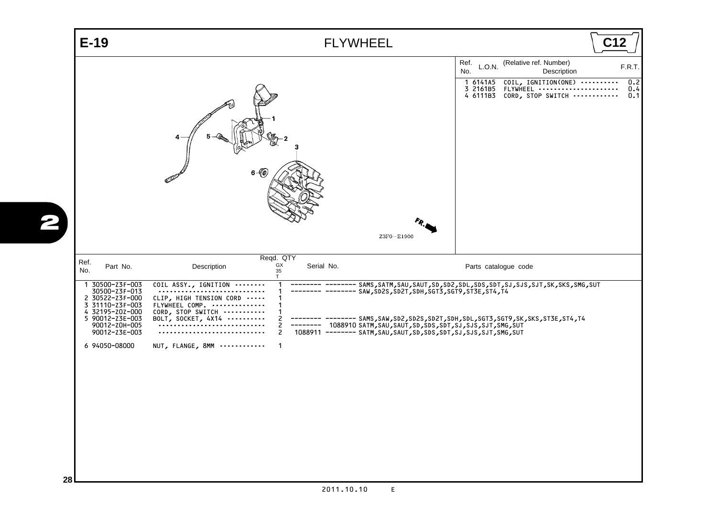<span id="page-30-0"></span>

<span id="page-30-14"></span><span id="page-30-13"></span><span id="page-30-12"></span><span id="page-30-11"></span><span id="page-30-10"></span><span id="page-30-9"></span><span id="page-30-8"></span><span id="page-30-7"></span><span id="page-30-6"></span><span id="page-30-5"></span><span id="page-30-4"></span><span id="page-30-3"></span><span id="page-30-2"></span><span id="page-30-1"></span>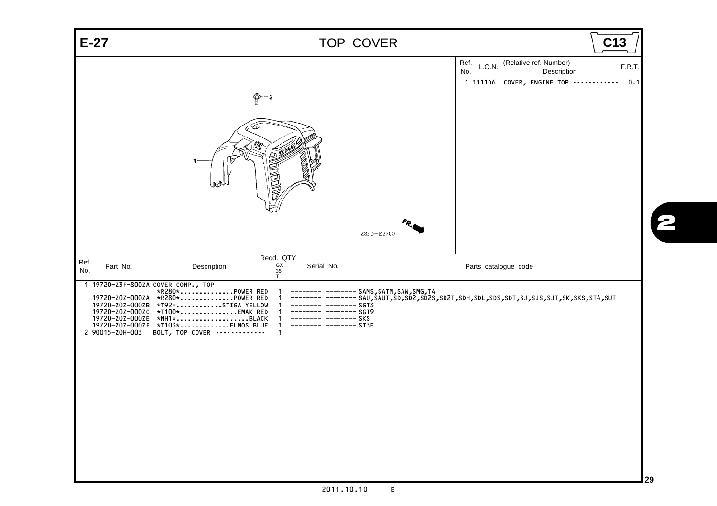<span id="page-31-9"></span><span id="page-31-8"></span><span id="page-31-7"></span><span id="page-31-6"></span><span id="page-31-5"></span><span id="page-31-4"></span><span id="page-31-3"></span><span id="page-31-2"></span><span id="page-31-1"></span>

<span id="page-31-0"></span>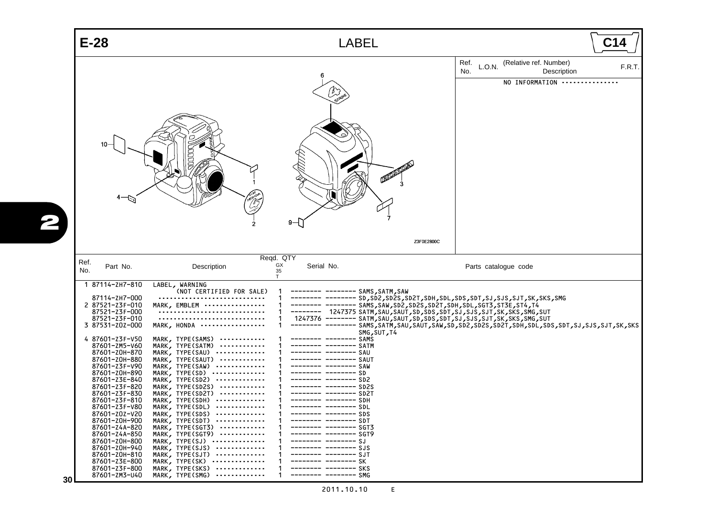<span id="page-32-30"></span><span id="page-32-29"></span><span id="page-32-28"></span><span id="page-32-27"></span><span id="page-32-26"></span><span id="page-32-25"></span><span id="page-32-24"></span><span id="page-32-23"></span><span id="page-32-22"></span><span id="page-32-21"></span><span id="page-32-20"></span><span id="page-32-19"></span><span id="page-32-18"></span><span id="page-32-17"></span><span id="page-32-16"></span><span id="page-32-15"></span><span id="page-32-14"></span><span id="page-32-13"></span><span id="page-32-12"></span><span id="page-32-11"></span><span id="page-32-10"></span><span id="page-32-9"></span><span id="page-32-8"></span><span id="page-32-7"></span><span id="page-32-6"></span><span id="page-32-5"></span><span id="page-32-4"></span><span id="page-32-3"></span><span id="page-32-2"></span><span id="page-32-1"></span><span id="page-32-0"></span>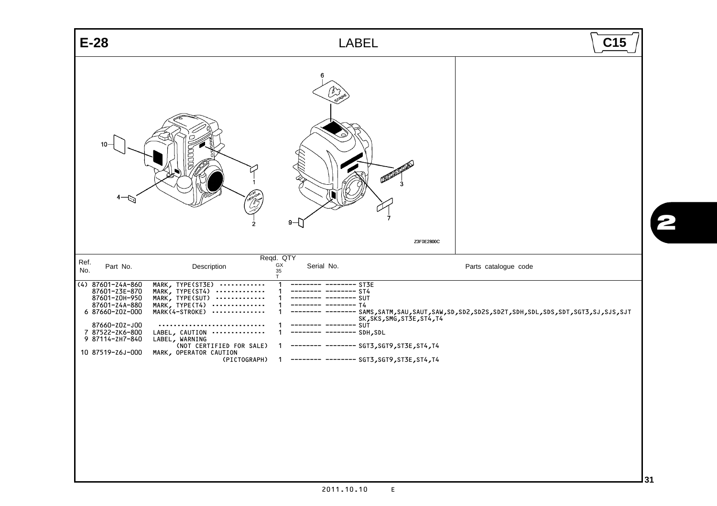<span id="page-33-13"></span><span id="page-33-12"></span><span id="page-33-11"></span><span id="page-33-10"></span><span id="page-33-9"></span><span id="page-33-8"></span><span id="page-33-7"></span><span id="page-33-6"></span><span id="page-33-5"></span><span id="page-33-4"></span><span id="page-33-3"></span><span id="page-33-2"></span><span id="page-33-1"></span><span id="page-33-0"></span>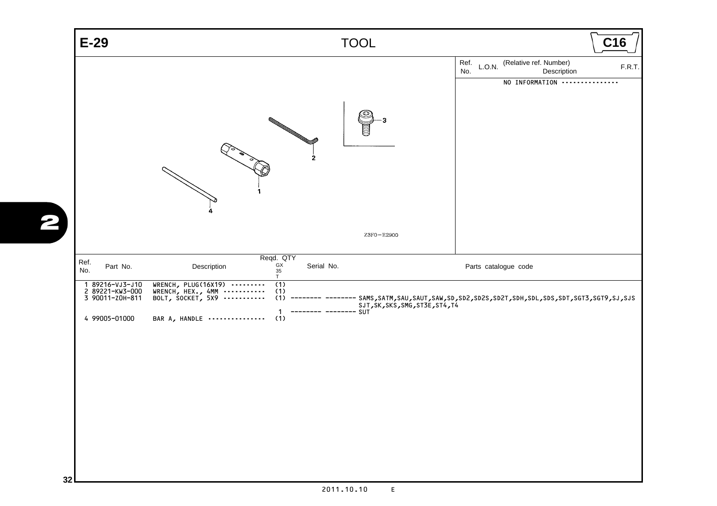<span id="page-34-8"></span><span id="page-34-7"></span><span id="page-34-6"></span><span id="page-34-5"></span><span id="page-34-4"></span><span id="page-34-3"></span><span id="page-34-2"></span><span id="page-34-1"></span><span id="page-34-0"></span>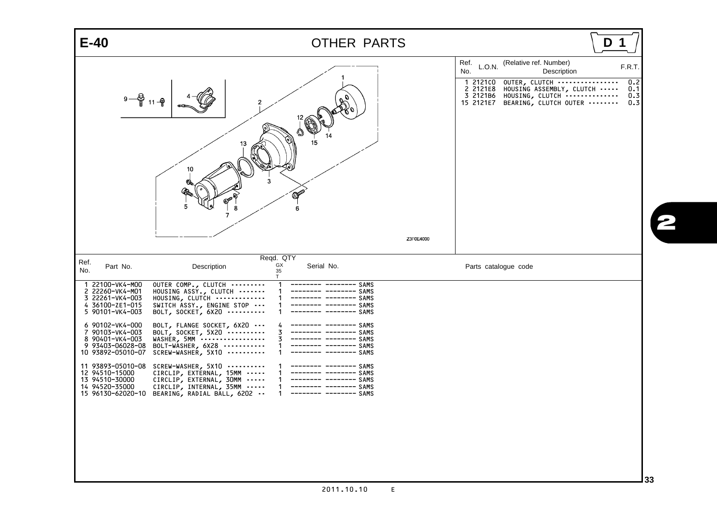<span id="page-35-26"></span><span id="page-35-5"></span><span id="page-35-4"></span><span id="page-35-3"></span><span id="page-35-2"></span><span id="page-35-1"></span>

| (Relative ref. Number)<br>Ref.<br>L.O.N.<br>No.<br>Description<br>1 212100<br>OUTER, CLUTCH<br>2 2121E8<br>HOUSING ASSEMBLY, CLUTCH<br>3 2121B6<br>HOUSING, CLUTCH<br>$9 - \frac{6}{9}$ 11 $-\frac{6}{9}$<br>2<br>BEARING, CLUTCH OUTER<br>15 2121E7<br>15<br>13<br>10<br>OPER<br>-8<br>$\overline{7}$                                                                                                                                                                                                                                                                                                                                                                                                                                                                                                                                                                                                                                                                                                                                | $E-40$ | OTHER PARTS | D                                 |
|---------------------------------------------------------------------------------------------------------------------------------------------------------------------------------------------------------------------------------------------------------------------------------------------------------------------------------------------------------------------------------------------------------------------------------------------------------------------------------------------------------------------------------------------------------------------------------------------------------------------------------------------------------------------------------------------------------------------------------------------------------------------------------------------------------------------------------------------------------------------------------------------------------------------------------------------------------------------------------------------------------------------------------------|--------|-------------|-----------------------------------|
| Z3F0E4000                                                                                                                                                                                                                                                                                                                                                                                                                                                                                                                                                                                                                                                                                                                                                                                                                                                                                                                                                                                                                             |        |             | F.R.T<br>0.2<br>0.1<br>0.3<br>0.3 |
| Reqd. QTY<br>Ref.<br>GX<br>Serial No.<br>Part No.<br>Description<br>Parts catalogue code<br>No.<br>35<br>T<br>1 22100-VK4-M00<br>OUTER COMP., CLUTCH<br>-------- SAMS<br>2 22260-VK4-M01<br>HOUSING ASSY., CLUTCH<br>-- SAMS<br>3 22261-VK4-003<br>HOUSING, CLUTCH<br>---- SAMS<br>4 36100-ZE1-015<br>SWITCH ASSY., ENGINE STOP<br>------ SAMS<br>5 90101-VK4-003<br>BOLT, SOCKET, $6X20$<br>---- SAMS<br>6 90102-VK4-000<br>BOLT, FLANGE SOCKET, 6X20<br>-------- SAMS<br>7 90103-VK4-003<br>BOLT, SOCKET, $5x20$<br>------ SAMS<br>3<br>8 90401-VK4-003<br>WASHER, 5MM<br>$------$ SAMS<br>9 93403-06028-08<br>BOLT-WASHER, 6X28<br>$------$ SAMS<br>10 93892-05010-07<br>SCREW-WASHER, 5X10<br>------ SAMS<br>11 93893-05010-08<br>SCREW-WASHER, 5X10<br>$------$ SAMS<br>12 94510-15000<br>CIRCLIP, EXTERNAL, 15MM<br>------- SAMS<br>13 94510-30000<br>CIRCLIP, EXTERNAL, 30MM<br>$------$ SAMS<br>14 94520-35000<br>CIRCLIP, INTERNAL, 35MM<br>$------$ SAMS<br>15 96130-62020-10<br>BEARING, RADIAL BALL, 6202<br>------- SAMS |        |             |                                   |

<span id="page-35-30"></span><span id="page-35-29"></span><span id="page-35-28"></span><span id="page-35-27"></span><span id="page-35-25"></span><span id="page-35-24"></span><span id="page-35-23"></span><span id="page-35-22"></span><span id="page-35-21"></span><span id="page-35-20"></span><span id="page-35-19"></span><span id="page-35-18"></span><span id="page-35-17"></span><span id="page-35-16"></span><span id="page-35-15"></span><span id="page-35-14"></span><span id="page-35-13"></span><span id="page-35-12"></span><span id="page-35-11"></span><span id="page-35-10"></span><span id="page-35-9"></span><span id="page-35-8"></span><span id="page-35-7"></span><span id="page-35-6"></span><span id="page-35-0"></span>2011.10.10 E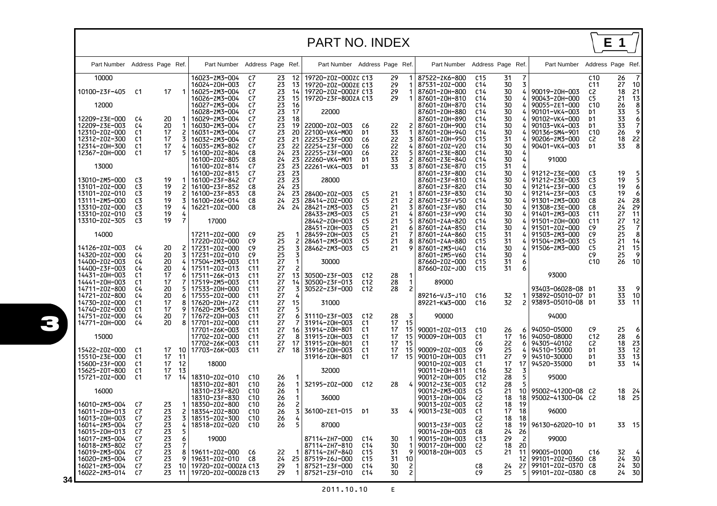<span id="page-36-0"></span>

|    |                                                                                                                     |                                        |                                  |                      |                                                                                                                     |                                                                                                                |                                        |                                           | <b>PART NO. INDEX</b>                                                                              |                                                       |                                        |                                                |                                                                                                                     |                                                                                                                                   |                                        |                                 |                                                                                                                     |                                                                                          | Е<br>1                                                     |                                                               |
|----|---------------------------------------------------------------------------------------------------------------------|----------------------------------------|----------------------------------|----------------------|---------------------------------------------------------------------------------------------------------------------|----------------------------------------------------------------------------------------------------------------|----------------------------------------|-------------------------------------------|----------------------------------------------------------------------------------------------------|-------------------------------------------------------|----------------------------------------|------------------------------------------------|---------------------------------------------------------------------------------------------------------------------|-----------------------------------------------------------------------------------------------------------------------------------|----------------------------------------|---------------------------------|---------------------------------------------------------------------------------------------------------------------|------------------------------------------------------------------------------------------|------------------------------------------------------------|---------------------------------------------------------------|
|    | Part Number Address Page Ref.                                                                                       |                                        |                                  |                      | Part Number                                                                                                         |                                                                                                                | Address Page Ref.                      |                                           | Part Number Address Page Ref.                                                                      |                                                       |                                        |                                                | Part Number                                                                                                         | Address Page Ref.                                                                                                                 |                                        |                                 | Part Number                                                                                                         | Address Page Ref.                                                                        |                                                            |                                                               |
|    | 10000<br>10100-Z3F-405<br>12000                                                                                     | C1                                     | 17                               | 1                    | 16023-ZM3-004<br>16024-Z0H-003<br>16025-ZM3-004<br>16026-ZM3-004<br>16027-ZM3-004<br>16028-ZM3-004                  | c7<br>C7<br>c7<br>c7<br>c7<br>c7                                                                               | 23<br>23<br>23<br>23<br>23<br>23       | 12<br>13<br>14<br>15<br>16<br>17          | 19720-Z0Z-000ZC C13<br>19720-Z0Z-000ZE C13<br>19720-Z0Z-000ZF C13<br>19720-Z3F-800ZA C13<br>22000  |                                                       | 29<br>29<br>29<br>29                   | 1<br>1<br>1<br>1                               | 87522-ZK6-800<br>87531-z0z-000<br>87601-Z0H-800<br>87601-Z0H-810<br>87601-Z0H-870<br>87601-Z0H-880                  | C <sub>15</sub><br>C <sub>14</sub><br>C <sub>14</sub><br>C <sub>14</sub><br>C <sub>14</sub><br>C <sub>14</sub>                    | 31<br>30<br>30<br>30<br>30<br>30       | 7<br>3<br>4<br>4<br>4<br>4      | 90019-Z0H-003<br>90043-Z0H-000<br>90055-ZE1-000<br>90101-VK4-003                                                    | C <sub>10</sub><br>C11<br>C2<br>C5<br>C <sub>10</sub><br>D1                              | 26<br>27<br>18<br>21<br>26<br>33                           | -7<br>10<br>21<br>$\begin{array}{c} 13 \\ 8 \\ 5 \end{array}$ |
|    | 12209-Z3E-000<br>12209-Z3E-003<br>12310-z0z-000<br>12312-z0z-300<br>12314-Z0H-300<br>12367-Z0H-000                  | C4<br>C4<br>C1<br>C1<br>C1<br>C1       | 20<br>20<br>17<br>17<br>17<br>17 | 3                    | 16029-ZM3-004<br>16030-ZM3-004<br>16031-ZM3-004<br>16032-ZM3-004<br>16035-ZM3-802<br>16100-Z0Z-804                  | c7<br>c7<br>c7<br>c7<br>c7<br>C8                                                                               | 23<br>23<br>23<br>23<br>23<br>24       | 18<br>19<br>20<br>21<br>22<br>23          | 22000-z0z-003<br>22100-VK4-M00<br>22253-Z3F-000<br>22254-Z3F-000<br>22255-Z3F-000                  | C6<br>D1<br>C6<br>C6<br>C6                            | 22<br>33<br>22<br>22<br>22             | 2<br>1<br>3<br>4<br>5.                         | 87601-Z0H-890<br>87601-Z0H-900<br>87601-Z0H-940<br>87601-Z0H-950<br>87601-z0z-y20<br>87601-Z3E-800                  | C <sub>14</sub><br>C <sub>14</sub><br>C <sub>14</sub><br>C <sub>15</sub><br>C <sub>14</sub><br>C <sub>14</sub>                    | 30<br>30<br>30<br>31<br>30<br>30       | 4<br>4<br>4<br>4<br>4<br>4      | 90102-VK4-000<br>90103-VK4-003<br>90136-SM4-901<br>90206-ZM3-000<br>90401-VK4-003                                   | D1<br>D1<br>C10<br>C2<br>D1                                                              | 33<br>33<br>$\overline{26}$<br>18<br>33                    | $\begin{bmatrix} 6 \\ 7 \\ 9 \end{bmatrix}$<br>$\frac{22}{8}$ |
|    | 13000<br>13010-ZM5-000<br>13101-z0z-000<br>13101-z0z-010<br>13111-ZM5-000                                           | C3<br>C <sub>3</sub><br>C3<br>C3       | 19<br>19<br>19<br>19             | 3                    | 16100-z0z-805<br>16100-Z0Z-814<br>16100-Z0Z-815<br>16100-z3F-842<br>16100-Z3F-852<br>16100-Z3F-853<br>16100-Z6K-014 | C8<br>c7<br>c7<br>C7<br>C8<br>C8<br>C8                                                                         | 24<br>23<br>23<br>23<br>24<br>24<br>24 | 23<br>23<br>23<br>23<br>23<br>23<br>23    | 22260-VK4-M01<br>22261-VK4-003<br>28000<br>28400-Z0Z-003<br>28414-Z0Z-000                          | D1<br>D1<br>C5<br>C5                                  | 33<br>33<br>21<br>21                   | 2<br>3<br>1 <sup>1</sup><br>$\mathbf{2}$       | 87601-Z3E-840<br>87601-Z3E-870<br>87601-Z3F-800<br>87601-Z3F-810<br>87601-z3F-820<br>87601-Z3F-830<br>87601-Z3F-V50 | C <sub>14</sub><br>C <sub>15</sub><br>C <sub>14</sub><br>C <sub>14</sub><br>C <sub>14</sub><br>C <sub>14</sub><br>C <sub>14</sub> | 30<br>31<br>30<br>30<br>30<br>30<br>30 | 4<br>4<br>4<br>4<br>4<br>4<br>4 | 91000<br>91212-z3E-000<br>91212-z3E-003<br>91214-Z3F-000<br>91214-Z3F-003<br>91301-ZM3-000                          | C3<br>C3<br>C <sub>3</sub><br>C3<br>C8                                                   | 19<br>19<br>19<br>19<br>24                                 | 5.<br>5 <sub>1</sub><br>$\boldsymbol{6}$<br>6<br>28<br>29     |
|    | 13310-z0z-000<br>13310-z0z-010<br>13310-z0z-305<br>14000                                                            | C3<br>C3<br>C <sub>5</sub><br>C4       | 19<br>19<br>19<br>20             | 7                    | 16221-z0z-000<br>17000<br>17211-z0z-000<br>17220-z0z-000<br>17231-z0z-000                                           | C8<br>C9<br>C9<br>C9                                                                                           | 24<br>25<br>25<br>25                   | 24<br>2<br>3                              | 28421-ZM3-003<br>28433-ZM3-003<br>28442-Z0H-003<br>28451-Z0H-003<br>28459-Z0H-003<br>28461-ZM3-003 | C5<br>C5<br>C5<br>C5<br>C5<br>C5<br>C5                | 21<br>21<br>21<br>21<br>21<br>21<br>21 | 3<br>4<br>5.<br>6<br>7<br>8<br>9               | 87601-Z3F-V80<br>87601-Z3F-V90<br>87601-Z4A-820<br>87601-Z4A-850<br>87601-Z4A-860<br>87601-Z4A-880                  | C <sub>14</sub><br>C <sub>14</sub><br>C <sub>14</sub><br>C <sub>14</sub><br>C <sub>15</sub><br>C <sub>15</sub><br>C <sub>14</sub> | 30<br>30<br>30<br>30<br>31<br>31<br>30 | 4<br>4<br>4<br>4<br>4<br>4<br>4 | 91308-Z3E-000<br>91401-ZM3-003<br>91501-Z0H-000<br>91501-Z0Z-000<br>91503-ZM3-000<br>91504-ZM3-003<br>91506-ZM3-000 | C8<br>C <sub>11</sub><br>C <sub>11</sub><br>C9<br>C9<br>C <sub>5</sub><br>C <sub>5</sub> | $\frac{24}{27}$<br>27<br>25<br>$\overline{25}$<br>21<br>21 | 11<br>$\begin{array}{c} 12 \\ 7 \\ 8 \end{array}$<br>14       |
|    | 14126-z0z-003<br>14320-z0z-000<br>14400-z0z-003<br>14400-z3F-003<br>14431-Z0H-003<br>14441-Z0H-003<br>14711-z0z-800 | C4<br>C4<br>C4<br>C1<br>C1<br>C4       | 20<br>20<br>20<br>17<br>17<br>20 | 3.                   | 17231-z0z-010<br>17504-ZM3-003<br>17511-z0z-013<br>17511-Z6K-013<br>17519-ZM5-003<br>17533-Z0H-000                  | C9<br>C <sub>11</sub><br>C <sub>11</sub><br>C <sub>11</sub><br>C <sub>11</sub><br>C <sub>11</sub>              | 25<br>27<br>27<br>27<br>27<br>27       | 3<br>1<br>$\overline{c}$<br>13<br>14<br>3 | 28462-ZM3-003<br>30000<br>30500-z3F-003<br>30500-Z3F-013<br>30522-z3F-000                          | C <sub>12</sub><br>C <sub>12</sub><br>C <sub>12</sub> | 28<br>28<br>28                         | $\mathbf{1}$<br>$\mathbf{1}$<br>$\overline{c}$ | 87601-ZM3-U40<br>87601-ZM5-V60<br>87660-z0z-000<br>87660-Z0Z-J00<br>89000                                           | C <sub>14</sub><br>C <sub>15</sub><br>C <sub>15</sub>                                                                             | 30<br>31<br>31                         | 4<br>6<br>6                     | 93000<br>93403-06028-08 D1                                                                                          | C9<br>C10                                                                                | 25<br>26<br>33                                             | $\begin{array}{c} 15 \\ 9 \end{array}$<br>10                  |
|    | 14721-z0z-800<br>14730-z0z-000<br>14740-z0z-000<br>14751-z0z-000<br>14771-Z0H-000                                   | C4<br>C <sub>1</sub><br>C1<br>C4<br>C4 | 20<br>17<br>17<br>20<br>20       | 8<br>9<br>8          | 17555-Z0Z-000<br>17620-Z0H-J72<br>17620-ZM3-063<br>17672-Z0H-003<br>17701-z0z-000<br>17701-Z6K-003                  | C <sub>11</sub><br>C <sub>11</sub><br>C <sub>11</sub><br>C <sub>11</sub><br>C <sub>11</sub><br>C <sub>11</sub> | 27<br>27<br>27<br>27<br>27<br>27       | 4<br>15<br>5<br>6<br>7                    | 31000<br>31110-Z3F-003<br>31914-Z0H-003<br>16 31914-Z0H-801                                        | C12<br>C1<br>C1                                       | 28<br>17<br>17                         | 3<br>15<br>15                                  | 89216-VJ3-J10<br>89221-KW3-000<br>90000<br>90001-z0z-013                                                            | C <sub>16</sub><br>C16<br>C <sub>10</sub>                                                                                         | 32<br>32<br>26                         | $\overline{c}$<br>6             | 93892-05010-07 D1<br>93893-05010-08 D1<br>94000<br>94050-05000                                                      | C9                                                                                       | 33<br>33<br>25                                             | 10<br>11<br>6                                                 |
|    | 15000<br>15422-z0z-000<br>15510-z3E-000<br>15600-Z3F-000<br>15625-Z0T-800                                           | C1<br>C1<br>C1<br>C1                   | 17<br>17<br>17<br>17             | 10<br>11<br>12<br>13 | 17702-z0z-000<br>17702-z6K-003<br>17703-Z6K-003<br>18000                                                            | C <sub>11</sub><br>C <sub>11</sub><br>C <sub>11</sub>                                                          | 27<br>27<br>27                         | 8<br>17                                   | 31915-Z0H-003<br>31915-Z0H-801<br>18 31916-Z0H-003<br>31916-Z0H-801<br>32000                       | C1<br>C1<br>C1<br>C1                                  | 17<br>17<br>17<br>17                   | 15<br>15<br>15<br>-15                          | 90009-Z0H-003<br>90009-z0z-003<br>90010-Z0H-003<br>90010-z0z-003<br>90011-Z0H-811                                   | C1<br>C6<br>C9<br>C <sub>11</sub><br>C1<br>C <sub>16</sub>                                                                        | 17<br>22<br>25<br>27<br>17<br>32       | 16<br>6<br>4<br>9<br>17<br>3    | 94050-08000<br>94305-40102<br>94510-15000<br>94510-30000<br>94520-35000                                             | C <sub>12</sub><br>C2<br>D1<br>D1<br>D1                                                  | 28<br>18<br>33<br>33<br>33                                 | 6<br>$2\bar{3}$<br>12<br>13<br>14                             |
|    | 15721-Z0Z-000<br>16000<br>16010-ZM3-004                                                                             | C1<br>C7                               | 17<br>23                         | 14                   | 18310-z0z-010<br>18310-z0z-801<br>18310-z3F-820<br>18310-Z3F-830<br>18350-z0z-800                                   | C <sub>10</sub><br>C10<br>C <sub>10</sub><br>C10<br>C <sub>10</sub>                                            | 26<br>26<br>26<br>26<br>26             | 1 I<br>1<br>$\mathbf{1}$<br>2             | 32195-z0z-000<br>36000                                                                             | C <sub>12</sub>                                       | 28                                     | 4                                              | 90012-Z0H-005<br>90012-Z3E-003<br>90012-ZM3-003<br>90013-Z0H-004<br>90013-z0z-003                                   | C <sub>12</sub><br>C12<br>C5<br>C2<br>C <sub>2</sub>                                                                              | 28<br>28<br>21<br>18<br>18             | 5<br>5<br>10<br>18<br>19        | 95000<br>95002-41200-08 C2<br>95002-41300-04 C2                                                                     |                                                                                          | 18<br>18                                                   | 24<br>25                                                      |
|    | 16U11-ZUH-U15<br>16013-Z0H-003<br>16014-ZM3-004<br>16015-Z0H-013<br>16017-ZM3-004                                   | C7<br>C7<br>C7<br>C7<br>C7             | 23<br>23<br>23<br>23<br>23       | cι<br>3<br>4<br>5.   | 18354-Z0Z-800 C10<br>18515-Z0Z-300<br>18518-z0z-020<br>19000                                                        | C10<br>C10                                                                                                     | 26<br>26<br>26                         | 3<br>4<br>5                               | 36100-ZE1-015 D1<br>87000<br>87114-ZH7-000                                                         | C14                                                   | 33<br>30                               | 1 I                                            | 4   90013-Z3E-003<br>90013-Z3F-003<br>90014-Z0H-003<br>90015-Z0H-003                                                | C1<br>C2<br>C2<br>C8<br>C13                                                                                                       | 17<br>18 18<br>18<br>24<br>29          | 18<br>$\frac{26}{2}$            | 96000<br>19 96130-62020-10 D1<br>99000                                                                              |                                                                                          |                                                            | 33 15                                                         |
| 34 | 16018-ZM3-802<br>16019-ZM3-004<br>16020-ZM3-004<br>16021-ZM3-004<br>16022-zm3-014                                   | C7<br>C7<br>C7<br>C7<br>C7             | 23<br>23<br>23<br>23<br>23       | 9<br>10<br>11 I      | 19611-Z0Z-000 C6<br>19631-Z0Z-010 C8<br>19720-Z0Z-000ZA C13<br>19720-Z0Z-000ZB C13                                  |                                                                                                                | 22<br>24<br>29<br>29                   | -1<br>-1<br>1                             | 87114-ZH7-810<br>87114-ZH7-840<br>25 87519-Z6J-000<br>87521-z3F-000<br>87521-z3F-010               | C14<br>C15<br>C15<br>C14<br>C14                       | 30<br>31<br>31<br>30<br>30             | 1 <sup>1</sup><br>9<br>10<br>2<br>2            | 90017-Z0H-000<br>90018-Z0H-003                                                                                      | C2<br>C5<br>C8<br>C9                                                                                                              | 18<br>21<br>24<br>25                   | 20<br>11<br>12<br>27<br>5       | 99005-01000<br>99101-z0z-0360 C8<br>99101-z0z-0370 C8<br>99101-Z0Z-0380 C8                                          | C16                                                                                      | 32<br>24<br>24                                             | 30<br>30<br>24 30                                             |

2011.10.10  $\mathsf{E}$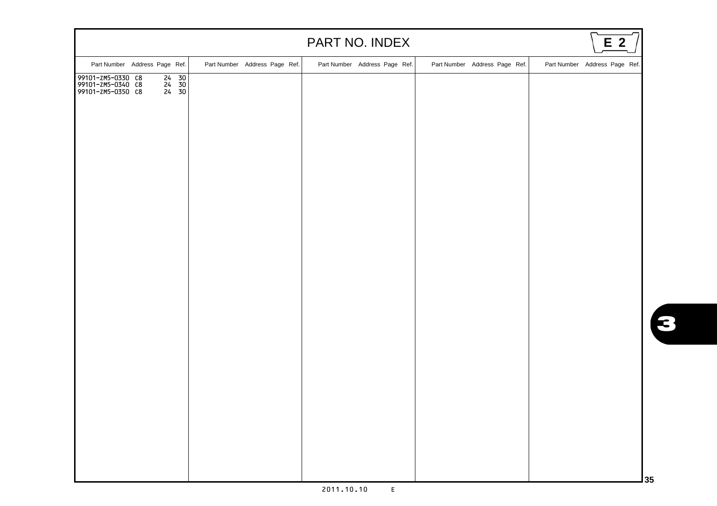|                                                                                                                              |                               | PART NO. INDEX                |                               | E <sub>2</sub>                |
|------------------------------------------------------------------------------------------------------------------------------|-------------------------------|-------------------------------|-------------------------------|-------------------------------|
| Part Number Address Page Ref.                                                                                                | Part Number Address Page Ref. | Part Number Address Page Ref. | Part Number Address Page Ref. | Part Number Address Page Ref. |
| $\begin{bmatrix} 24 & 30 \\ 24 & 30 \\ 24 & 30 \end{bmatrix}$<br>99101-ZM5-0330 C8<br>99101-ZM5-0340 C8<br>99101-ZM5-0350 C8 |                               |                               |                               |                               |
|                                                                                                                              |                               |                               |                               | 3 <sub>5</sub>                |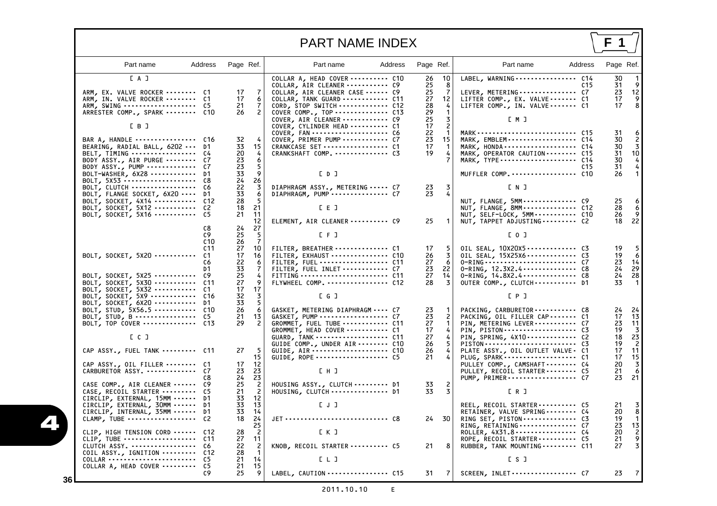## PART NAME INDEX

**F 1**

<span id="page-38-0"></span>

| Part name                                                                                                                                                                                                     | Address                                                                | Page Ref.                                                                                                                              | Part name                                                                                                                                                                                                           | Address | Page Ref.                                                                              | Part name<br>Address                                                                                                                                                                                                                                                   | Page Ref.                                                                                                        |
|---------------------------------------------------------------------------------------------------------------------------------------------------------------------------------------------------------------|------------------------------------------------------------------------|----------------------------------------------------------------------------------------------------------------------------------------|---------------------------------------------------------------------------------------------------------------------------------------------------------------------------------------------------------------------|---------|----------------------------------------------------------------------------------------|------------------------------------------------------------------------------------------------------------------------------------------------------------------------------------------------------------------------------------------------------------------------|------------------------------------------------------------------------------------------------------------------|
| [A]<br>ARM, EX. VALVE ROCKER  C1<br>ARM, IN. VALVE ROCKER  C1<br>ARM, SWING<br>ARRESTER COMP., SPARK  C10                                                                                                     | - C5                                                                   | 17<br>7<br>17<br>6<br>21<br>7<br>$\overline{c}$<br>26                                                                                  | COLLAR A, HEAD COVER  C10<br>COLLAR, AIR CLEANER  C9<br>COLLAR, AIR CLEANER CASE  C9<br>COLLAR, TANK GUARD  C11<br>CORD, STOP SWITCH  C12<br>COVER COMP., TOP  C13<br>COVER, AIR CLEANER  C9                        |         | 10<br>26<br>25<br>8<br>25<br>-7<br>27<br>12<br>28<br>-4<br>29<br>25<br>3               | LABEL, WARNING  C14<br>LEVER, METERING  C7<br>LIFTER COMP., EX. VALVE  C1<br>LIFTER COMP., IN. VALVE C1<br>EM J                                                                                                                                                        | 30<br>31<br>C15<br>23<br>12<br>17<br>9<br>8<br>17                                                                |
| [ B ]<br>BAR A, HANDLE  C16<br>BEARING, RADIAL BALL, 6202  D1<br>BELT, TIMING<br>BODY ASSY., AIR PURGE<br>BODY ASSY., PUMP<br>BOLT-WASHER, $6x28$<br>BOLT, 5X53                                               | C4<br>C7<br>C7<br>D1<br>C8                                             | 32<br>15<br>33<br>20<br>4<br>23<br>6<br>23<br>5<br>33<br>9<br>26                                                                       | COVER, CYLINDER HEAD  C1<br>COVER, FAN  C6<br>COVER, PRIMER PUMP  C7<br>CRANKCASE SET  C1<br>CRANKSHAFT COMP.  C3<br>[ 0 ]                                                                                          |         | 17<br>$\overline{c}$<br>22<br>$\mathbf{1}$<br>23<br>15<br>17<br>$\mathbf 1$<br>19<br>4 | MARK, EMBLEM  C14<br>MARK, HONDA  C14<br>MARK, OPERATOR CAUTION  C15<br>MARK, TYPE  C14<br>MUFFLER COMP.  C10                                                                                                                                                          | 31<br>30<br>30<br>3<br>31<br>10<br>30<br>4<br>31<br>C <sub>15</sub><br>26                                        |
| BOLT, CLUTCH<br>BOLT, FLANGE SOCKET, 6X20<br>BOLT, SOCKET, $4x14$<br>BOLT, SOCKET, 5X12<br>BOLT, SOCKET, 5X16                                                                                                 | C6<br>D1<br>C12<br>C2<br>C5                                            | $\frac{24}{22}$<br>3<br>33<br>6<br>28<br>-5<br>21<br>18<br>21<br>11<br>12                                                              | DIAPHRAGM ASSY., METERING  C7<br>DIAPHRAGM, PUMP  C7<br>$E \nE$ J<br>ELEMENT, AIR CLEANER  C9                                                                                                                       |         | 23<br>-3<br>23<br>4<br>25<br>-1                                                        | EN J<br>NUT, FLANGE, 5MM  C9<br>NUT, FLANGE, 8MM C12<br>NUT, SELF-LOCK, 5MM C10<br>NUT, TAPPET ADJUSTING  C2                                                                                                                                                           | 25<br>28<br>6<br>26<br>22<br>18                                                                                  |
| BOLT, SOCKET, $5X20$<br>BOLT, SOCKET, 5X25<br>BOLT, SOCKET, 5X30  C11                                                                                                                                         | C8<br>C9<br>C <sub>10</sub><br>C <sub>11</sub><br>C1<br>C6<br>D1<br>C9 | 24<br>27<br>25<br>-5<br>$\overline{7}$<br>26<br>10<br>27<br>17<br>16<br>22<br>6<br>33<br>7<br>25<br>4<br>9<br>27<br>17<br>17           | $[$ F $]$<br>FILTER, BREATHER  C1<br>FILTER, EXHAUST  C10<br>FILTER, FUEL  C11<br>FILTER, FUEL INLET  C7<br>FLYWHEEL COMP.  C12                                                                                     |         | 17<br>-5<br>$\overline{3}$<br>26<br>27<br>6<br>22<br>23<br>27<br>14<br>3<br>28         | [0, 1]<br>OIL SEAL, 10X20X5  C3<br>OIL SEAL, 15X25X6  C3<br>0-RING, $12.3x2.4$ $c8$<br>$0 - RING, 14.8X2.4 \cdots \cdots \cdots \cdots$ C8<br>OUTER COMP., CLUTCH  D1                                                                                                  | 19<br>19<br>6<br>23<br>14<br>24<br>29<br>28<br>24<br>33                                                          |
| BOLT, SOCKET, $5x32$<br>BOLT, SOCKET, $5x9$<br>BOLT, SOCKET, $6x20$<br>BOLT, STUD, 5X56.5  C10<br>BOLT, TOP COVER  C13<br>L C J<br>CAP ASSY., FUEL TANK  C11<br>CAP ASSY., OIL FILLER  C1<br>CARBURETOR ASSY. | C 1<br>C16<br>D1<br>C7                                                 | 32<br>3<br>33<br>5.<br>26<br>6<br>13<br>21<br>29<br>$\overline{\phantom{0}}$<br>27<br>-5<br>15<br>17<br>12<br>23<br>23                 | [ G ]<br>GASKET, METERING DIAPHRAGM  C7<br>GASKET, PUMP  C7<br>GROMMET, FUEL TUBE  C11<br>GROMMET, HEAD COVER  C1<br>GUARD, TANK  C11<br>GUIDE COMP., UNDER AIR  C10<br>GUIDE, AIR  C10<br>GUIDE, ROPE  C5<br>L H J |         | 23<br>-1<br>23<br>2<br>27<br>-1<br>17<br>4<br>27<br>4<br>26<br>5<br>26<br>4<br>21<br>4 | [ P ]<br>PACKING, CARBURETOR  C8<br>PACKING, OIL FILLER CAP  C1<br>PIN, METERING LEVER  C7<br>PIN, PISTON  C3<br>PIN, SPRING, 4X10 C2<br>PLATE ASSY., OIL OUTLET VALVE. C1<br>PLUG, SPARK  C1<br>PULLEY COMP., CAMSHAFT - - - - - - - C4<br>PULLEY, RECOIL STARTER  C5 | 24<br>24<br>17<br>13<br>23<br>11<br>19<br>3<br>18<br>23<br>19<br>2<br>11<br>17<br>15<br>17<br>20<br>3<br>6<br>21 |
| CASE COMP., AIR CLEANER<br>CASE, RECOIL STARTER<br>CIRCLIP, EXTERNAL, 15MM<br>CIRCLIP, EXTERNAL, 30MM<br>CIRCLIP, INTERNAL, 35MM<br>CLAMP, TUBE<br>CLIP, HIGH TENSION CORD  C12                               | C8<br>C9<br>C5<br>D1<br>D1<br>D1<br>-c2                                | 23<br>24<br>25<br>$\overline{c}$<br>$\overline{c}$<br>21<br>33<br>12<br>33<br>13<br>33<br>14<br>18<br>24<br>25<br>$\overline{c}$<br>28 | HOUSING ASSY., CLUTCH  D1<br>HOUSING, CLUTCH  D1<br>[J]<br>L K J                                                                                                                                                    |         | 33<br>33<br>3<br>24 30                                                                 | PUMP, PRIMER C7<br>ER J<br>REEL, RECOIL STARTER  C5<br>RETAINER, VALVE SPRING  C4<br>RING SET, PISTON  C3<br>RING, RETAINING  C7<br>ROLLER, 4X31.8 C4                                                                                                                  | 21<br>23<br>21<br>20<br>8<br>19<br>1<br>23<br>13<br>20<br>2                                                      |
| CLIP, TUBE  C11<br>CLUTCH ASSY.  C6<br>COIL ASSY., IGNITION  C12<br>COLLAR<br>COLLAR A, HEAD COVER                                                                                                            | C5<br>C5<br>C9                                                         | 11<br>27<br>22<br>$\overline{c}$<br>28<br>$\mathbf 1$<br>14<br>21<br>21<br>15<br>9<br>25                                               | KNOB, RECOIL STARTER  C5<br>[1, 1]<br>LABEL, CAUTION  C15                                                                                                                                                           |         | 21<br>8<br>31<br>7                                                                     | ROPE, RECOIL STARTER  C5<br>RUBBER, TANK MOUNTING  C11<br>[S]<br>SCREEN, INLET  C7                                                                                                                                                                                     | 21<br>9<br>27<br>23                                                                                              |

4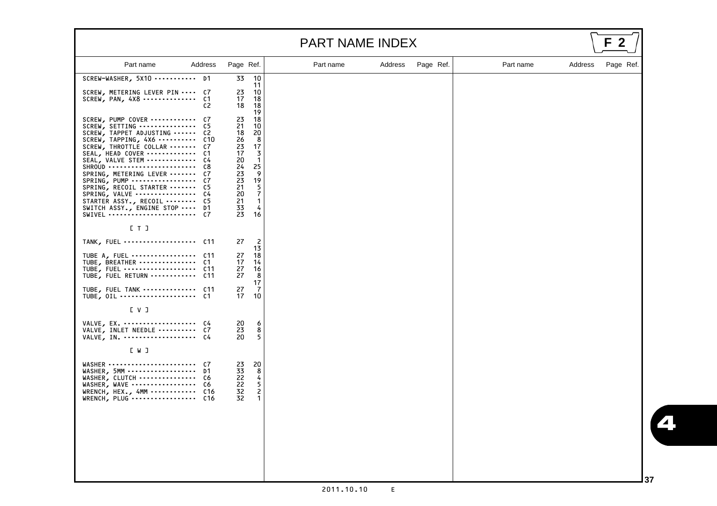|                                                                                                                                                                                                                                                                                                                                                                                                                                   |                                                                                                                                                                                                             | PART NAME INDEX |         |           |           |         | F         |
|-----------------------------------------------------------------------------------------------------------------------------------------------------------------------------------------------------------------------------------------------------------------------------------------------------------------------------------------------------------------------------------------------------------------------------------|-------------------------------------------------------------------------------------------------------------------------------------------------------------------------------------------------------------|-----------------|---------|-----------|-----------|---------|-----------|
| Part name<br>Address                                                                                                                                                                                                                                                                                                                                                                                                              | Page Ref.                                                                                                                                                                                                   | Part name       | Address | Page Ref. | Part name | Address | Page Ref. |
| SCREW-WASHER, 5X10<br>D1                                                                                                                                                                                                                                                                                                                                                                                                          | 10<br>33<br>11                                                                                                                                                                                              |                 |         |           |           |         |           |
| C7<br>SCREW, METERING LEVER PIN<br>$SCREW, PAN, 4X8$<br>C1<br>C2                                                                                                                                                                                                                                                                                                                                                                  | 10<br>23<br>17<br>18<br>18<br>18<br>19                                                                                                                                                                      |                 |         |           |           |         |           |
| SCREW, PUMP COVER<br>C7<br>SCREW, SETTING<br>C5<br>SCREW, TAPPET ADJUSTING<br>C2<br>$SCREW, TAPPING, 4X6 \cdots \cdots$<br>C10<br>SCREW, THROTTLE COLLAR<br>C7<br>SEAL, HEAD COVER<br>C1<br>SEAL, VALVE STEM<br>C4<br>SHROUD<br>C8<br>SPRING, METERING LEVER<br>C7<br>SPRING, PUMP<br>C7<br>SPRING, RECOIL STARTER<br>C5<br>SPRING, VALVE<br>C4<br>STARTER ASSY., RECOIL<br>C5<br>SWITCH ASSY., ENGINE STOP<br>D1<br>SWIVEL<br>C7 | 23<br>18<br>21<br>10<br>20<br>18<br>8<br>26<br>17<br>23<br>3<br>17<br>20<br>$\mathbf{1}$<br>25<br>24<br>9<br>23<br>23<br>19<br>21<br>5<br>$\overline{7}$<br>20<br>21<br>$\mathbf{1}$<br>33<br>4<br>23<br>16 |                 |         |           |           |         |           |
| E T I                                                                                                                                                                                                                                                                                                                                                                                                                             |                                                                                                                                                                                                             |                 |         |           |           |         |           |
| TANK, FUEL  C11                                                                                                                                                                                                                                                                                                                                                                                                                   | 27<br>2<br>13                                                                                                                                                                                               |                 |         |           |           |         |           |
| TUBE A, FUEL<br>C11<br>TUBE, BREATHER<br>C1<br>TUBE, FUEL<br>C11<br>TUBE, FUEL RETURN  C11                                                                                                                                                                                                                                                                                                                                        | 18<br>27<br>17<br>14<br>16<br>27<br>8<br>27                                                                                                                                                                 |                 |         |           |           |         |           |
| TUBE, FUEL TANK  C11<br>TUBE, OIL  C1                                                                                                                                                                                                                                                                                                                                                                                             | 17<br>27<br>7<br>10<br>17                                                                                                                                                                                   |                 |         |           |           |         |           |
| L V J                                                                                                                                                                                                                                                                                                                                                                                                                             |                                                                                                                                                                                                             |                 |         |           |           |         |           |
| VALVE, EX.  C4<br>VALVE, INLET NEEDLE  C7<br>VALVE, IN.  C4                                                                                                                                                                                                                                                                                                                                                                       | 20<br>6<br>8<br>23<br>5<br>20                                                                                                                                                                               |                 |         |           |           |         |           |
| L W J                                                                                                                                                                                                                                                                                                                                                                                                                             |                                                                                                                                                                                                             |                 |         |           |           |         |           |
| WASHER<br>C7<br>WASHER, 5MM<br>D1<br>WASHER, CLUTCH<br>C6<br>WASHER, WAVE<br>C6<br>WRENCH, HEX., 4MM  C16<br>WRENCH, PLUG  C16                                                                                                                                                                                                                                                                                                    | 23<br>20<br>8<br>33<br>22<br>4<br>22<br>5<br>32<br>$\overline{c}$<br>32<br>$\mathbf 1$                                                                                                                      |                 |         |           |           |         |           |
|                                                                                                                                                                                                                                                                                                                                                                                                                                   |                                                                                                                                                                                                             |                 |         |           |           |         |           |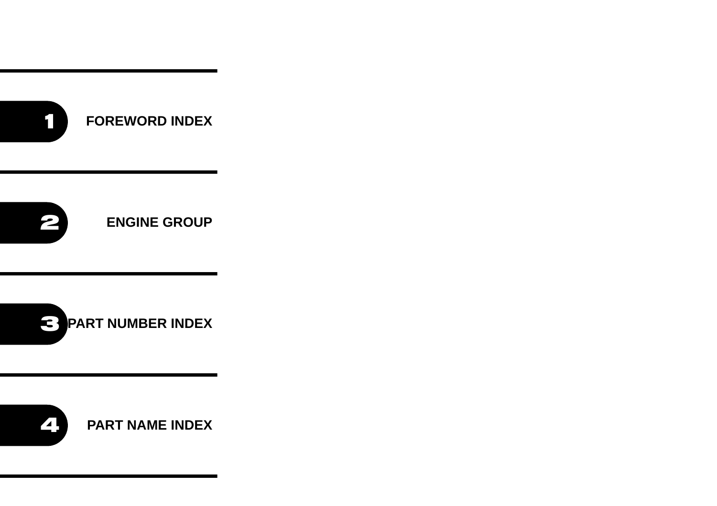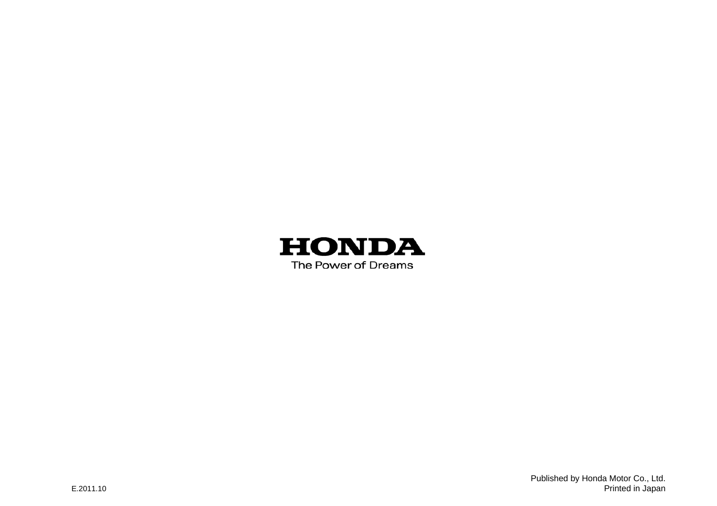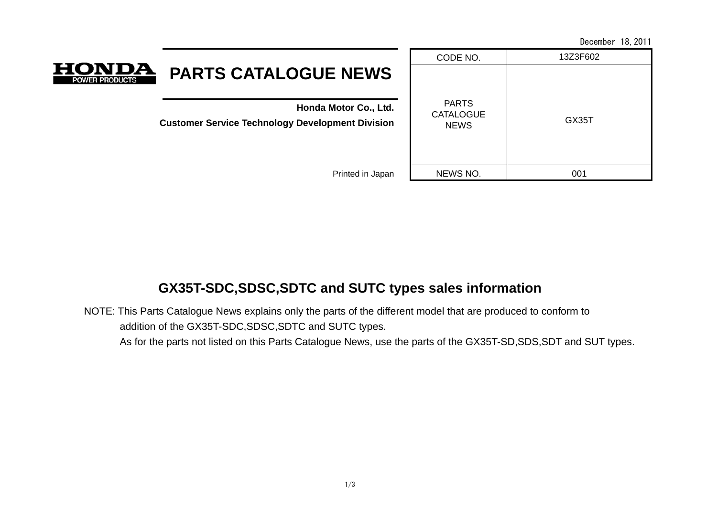December 18,2011

| <b>HONDA</b><br><b>PARTS CATALOGUE NEWS</b><br><b>POWER PRODUCTS</b>             | CODE NO.                                        | 13Z3F602 |
|----------------------------------------------------------------------------------|-------------------------------------------------|----------|
| Honda Motor Co., Ltd.<br><b>Customer Service Technology Development Division</b> | <b>PARTS</b><br><b>CATALOGUE</b><br><b>NEWS</b> | GX35T    |
| Printed in Japan                                                                 | NEWS NO.                                        | 001      |
|                                                                                  |                                                 |          |

## **GX35T-SDC,SDSC,SDTC and SUTC types sales information**

NOTE: This Parts Catalogue News explains only the parts of the different model that are produced to conform to addition of the GX35T-SDC,SDSC,SDTC and SUTC types.

As for the parts not listed on this Parts Catalogue News, use the parts of the GX35T-SD,SDS,SDT and SUT types.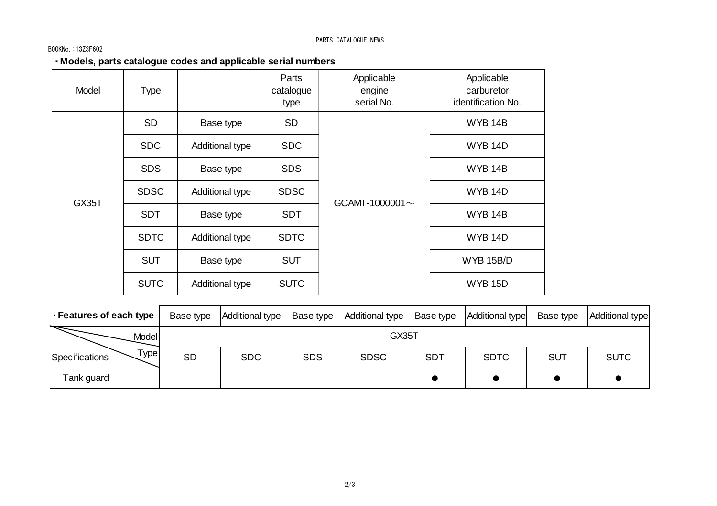#### BOOKNo.:13Z3F602

#### ・**Models, parts catalogue codes and applicable serial numbers**

| Model | <b>Type</b> |                 | Parts<br>catalogue<br>type | Applicable<br>engine<br>serial No. | Applicable<br>carburetor<br>identification No. |
|-------|-------------|-----------------|----------------------------|------------------------------------|------------------------------------------------|
|       | <b>SD</b>   | Base type       | <b>SD</b>                  |                                    | <b>WYB 14B</b>                                 |
|       | <b>SDC</b>  | Additional type | <b>SDC</b>                 |                                    | <b>WYB 14D</b>                                 |
|       | <b>SDS</b>  | Base type       | <b>SDS</b>                 |                                    | WYB 14B                                        |
|       | <b>SDSC</b> | Additional type | <b>SDSC</b>                | GCAMT-1000001 $\sim$               | <b>WYB 14D</b>                                 |
| GX35T | <b>SDT</b>  | Base type       | <b>SDT</b>                 |                                    | <b>WYB 14B</b>                                 |
|       | <b>SDTC</b> | Additional type | <b>SDTC</b>                |                                    | <b>WYB 14D</b>                                 |
|       | <b>SUT</b>  | Base type       | <b>SUT</b>                 |                                    | <b>WYB 15B/D</b>                               |
|       | <b>SUTC</b> | Additional type | <b>SUTC</b>                |                                    | <b>WYB 15D</b>                                 |

| - Features of each type       | Base type | Additional type | Base type  | Additional type | Base type  | Additional type | Base type  | Additional type |
|-------------------------------|-----------|-----------------|------------|-----------------|------------|-----------------|------------|-----------------|
| Model                         |           |                 |            | GX35T           |            |                 |            |                 |
| $\tau$ ypel<br>Specifications | <b>SD</b> | <b>SDC</b>      | <b>SDS</b> | <b>SDSC</b>     | <b>SDT</b> | <b>SDTC</b>     | <b>SUT</b> | <b>SUTC</b>     |
| Tank guard                    |           |                 |            |                 |            |                 |            |                 |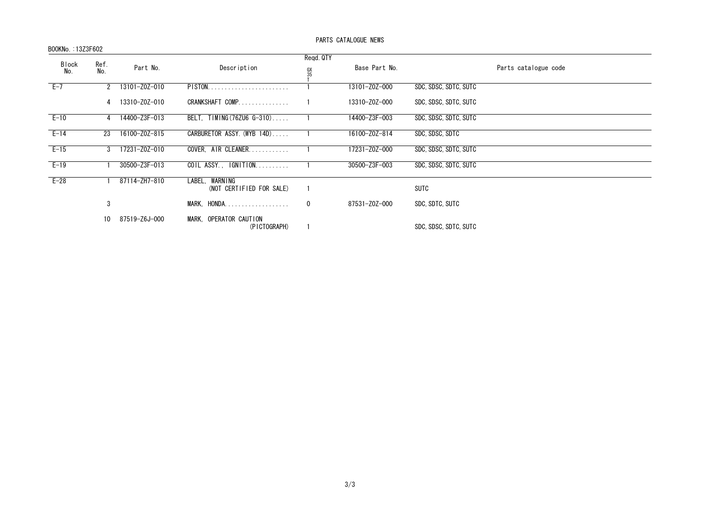#### BOOKNo.:13Z3F602

#### PARTS CATALOGUE NEWS

|                     |             |               |                                               | Regd. QTY            |               |                       |
|---------------------|-------------|---------------|-----------------------------------------------|----------------------|---------------|-----------------------|
| <b>Block</b><br>No. | Ref.<br>No. | Part No.      | Description                                   | $^{\rm GX}_{\rm 35}$ | Base Part No. | Parts catalogue code  |
| $E-7$               |             | 13101-Z0Z-010 | PISTON                                        |                      | 13101-Z0Z-000 | SDC, SDSC, SDTC, SUTC |
|                     | 4           | 13310-Z0Z-010 | CRANKSHAFT COMP                               |                      | 13310-Z0Z-000 | SDC, SDSC, SDTC, SUTC |
| $E-10$              |             | 14400-Z3F-013 | BELT, TIMING (76ZU6 G-310)                    |                      | 14400-Z3F-003 | SDC, SDSC, SDTC, SUTC |
| $E-14$              | 23          | 16100-Z0Z-815 | CARBURETOR ASSY (WYB 14D)                     |                      | 16100-Z0Z-814 | SDC, SDSC, SDTC       |
| $E - 15$            |             | 17231-Z0Z-010 | COVER, AIR CLEANER                            |                      | 17231-Z0Z-000 | SDC, SDSC, SDTC, SUTC |
| $E-19$              |             | 30500-Z3F-013 | COIL ASSY., IGNITION                          |                      | 30500-Z3F-003 | SDC, SDSC, SDTC, SUTC |
| $E-28$              |             | 87114-ZH7-810 | WARNING<br>LABEL.<br>(NOT CERTIFIED FOR SALE) |                      |               | SUTC                  |
|                     | 3           |               | MARK, HONDA                                   | $\mathbf 0$          | 87531-Z0Z-000 | SDC. SDTC. SUTC       |
|                     | 10          | 87519-Z6J-000 | MARK, OPERATOR CAUTION<br>(PICTOGRAPH)        |                      |               | SDC, SDSC, SDTC, SUTC |